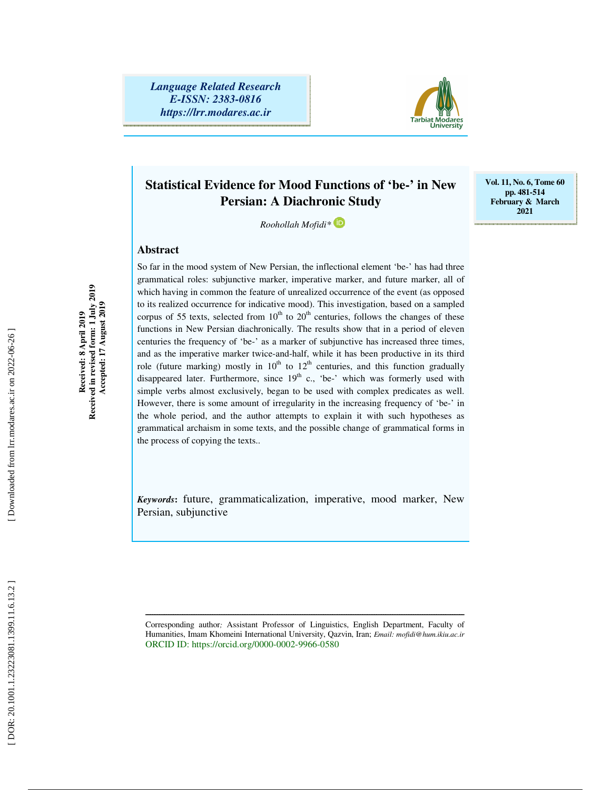*Language Related Research E-ISSN: 2383-0816 https://lrr.modares.ac.ir*



**Vol. 11, No. 6, Tome 60 pp. 481-514 February & March 2021** 

## **Statistical Evidence for Mood Functions of 'be-' in New Persian: A Diachronic Study**

*Roohollah Mofidi\** 

## **Abstract**

So far in the mood system of New Persian, the inflectional element 'be-' has had three grammatical roles: subjunctive marker, imperative marker, and future marker, all of which having in common the feature of unrealized occurrence of the event (as opposed to its realized occurrence for indicative mood). This investigation, based on a sampled corpus of 55 texts, selected from  $10^{th}$  to  $20^{th}$  centuries, follows the changes of these functions in New Persian diachronically. The results show that in a period of eleven centuries the frequency of 'be-' as a marker of subjunctive has increased three times, and as the imperative marker twice-and-half, while it has been productive in its third role (future marking) mostly in  $10<sup>th</sup>$  to  $12<sup>th</sup>$  centuries, and this function gradually disappeared later. Furthermore, since  $19<sup>th</sup>$  c., 'be-' which was formerly used with simple verbs almost exclusively, began to be used with complex predicates as well. However, there is some amount of irregularity in the increasing frequency of 'be-' in the whole period, and the author attempts to explain it with such hypotheses as grammatical archaism in some texts, and the possible change of grammatical forms in the process of copying the texts..

*Keywords***:** future, grammaticalization, imperative, mood marker, New Persian, subjunctive

Corresponding author *;* Assistant Professor of Linguistics, English Department, Faculty of Humanities, Imam Khomeini International University, Qazvin, Iran; *Email: mofidi@hum.ikiu.ac.ir* ORCID ID: https://orcid.org/0000-0002-9966-0580

ــــــــــــــــــــــــــــــــــــــــــــــــــــــــــــــــــــــــــــــــــــــــــــــــــــــــــــــــــــــــــــــــــــــــــ

Received in revised form: 1 July 2019<br>Accepted: 17 August 2019 **Received in revised form: 1 July 2019 Accepted: 17 August 2019**  Received: 8 April 2019 **Received: 8 April 2019**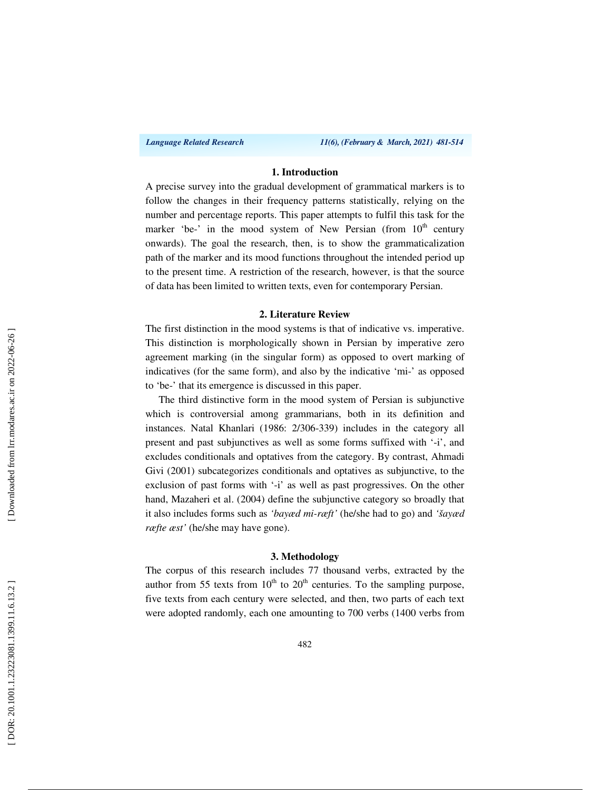*Language Related Research 11(6), (February & March, 2021) 481-514*

## **1. Introduction**

A precise survey into the gradual development of grammatical markers is to follow the changes in their frequency patterns statistically, relying on the number and percentage reports. This paper attempts to fulfil this task for the marker 'be-' in the mood system of New Persian (from  $10<sup>th</sup>$  century onwards). The goal the research, then, is to show the grammaticalization path of the marker and its mood functions throughout the intended period up to the present time. A restriction of the research, however, is that the source of data has been limited to written texts, even for contemporary Persian.

#### **2. Literature Review**

The first distinction in the mood systems is that of indicative vs. imperative. This distinction is morphologically shown in Persian by imperative zero agreement marking (in the singular form) as opposed to overt marking of indicatives (for the same form), and also by the indicative 'mi-' as opposed to 'be-' that its emergence is discussed in this paper.

The third distinctive form in the mood system of Persian is subjunctive which is controversial among grammarians, both in its definition and instances. Natal Khanlari (1986: 2/306-339) includes in the category all present and past subjunctives as well as some forms suffixed with '-i', and excludes conditionals and optatives from the category. By contrast, Ahmadi Givi (2001) subcategorizes conditionals and optatives as subjunctive, to the exclusion of past forms with '-i' as well as past progressives. On the other hand, Mazaheri et al. (2004) define the subjunctive category so broadly that it also includes forms such as *'bayæd mi-ræft'* (he/she had to go) and *'šayæd ræfte æst'* (he/she may have gone).

#### **3. Methodology**

The corpus of this research includes 77 thousand verbs, extracted by the author from 55 texts from  $10<sup>th</sup>$  to  $20<sup>th</sup>$  centuries. To the sampling purpose, five texts from each century were selected, and then, two parts of each text were adopted randomly, each one amounting to 700 verbs (1400 verbs from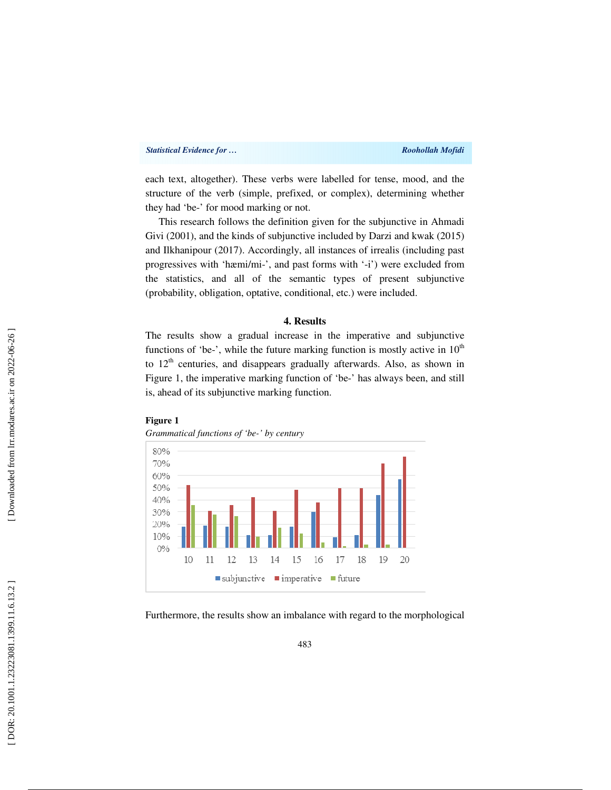each text, altogether). These verbs were labelled for tense, mood, and the structure of the verb (simple, prefixed, or complex), determining whether they had 'be-' for mood marking or not.

This research follows the definition given for the subjunctive in Ahmadi Givi (2001), and the kinds of subjunctive included by Darzi and kwak (2015) and Ilkhanipour (2017). Accordingly, all instances of irrealis (including past progressives with 'hæmi/mi-', and past forms with '-i') were excluded from the statistics, and all of the semantic types of present subjunctive (probability, obligation, optative, conditional, etc.) were included.

#### **4. Results**

The results show a gradual increase in the imperative and subjunctive functions of 'be-', while the future marking function is mostly active in  $10<sup>th</sup>$ to  $12<sup>th</sup>$  centuries, and disappears gradually afterwards. Also, as shown in Figure 1, the imperative marking function of 'be-' has always been, and still is, ahead of its subjunctive marking function.



*Grammatical functions of 'be-' by century* 



Furthermore, the results show an imbalance with regard to the morphological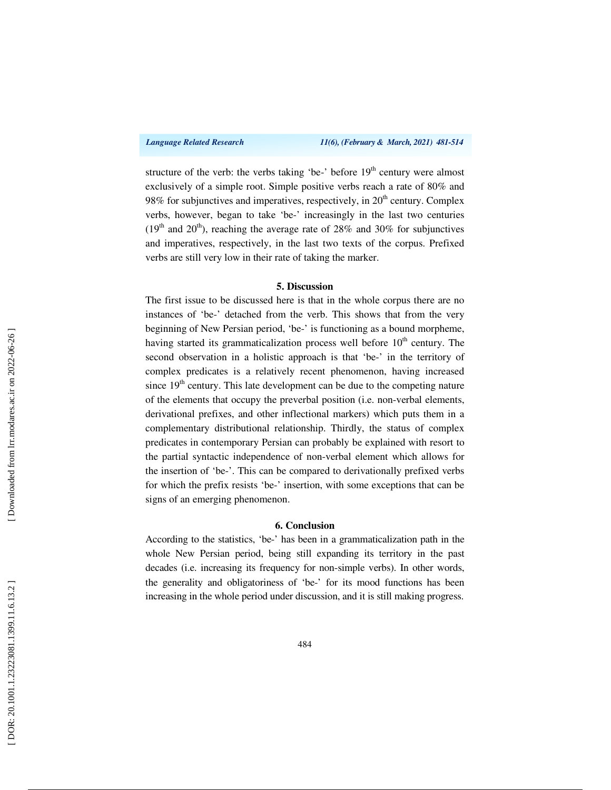structure of the verb: the verbs taking 'be-' before 19<sup>th</sup> century were almost exclusively of a simple root. Simple positive verbs reach a rate of 80% and 98% for subjunctives and imperatives, respectively, in  $20<sup>th</sup>$  century. Complex verbs, however, began to take 'be-' increasingly in the last two centuries ( $19<sup>th</sup>$  and  $20<sup>th</sup>$ ), reaching the average rate of 28% and 30% for subjunctives and imperatives, respectively, in the last two texts of the corpus. Prefixed verbs are still very low in their rate of taking the marker.

## **5. Discussion**

The first issue to be discussed here is that in the whole corpus there are no instances of 'be-' detached from the verb. This shows that from the very beginning of New Persian period, 'be-' is functioning as a bound morpheme, having started its grammaticalization process well before  $10<sup>th</sup>$  century. The second observation in a holistic approach is that 'be-' in the territory of complex predicates is a relatively recent phenomenon, having increased since  $19<sup>th</sup>$  century. This late development can be due to the competing nature of the elements that occupy the preverbal position (i.e. non-verbal elements, derivational prefixes, and other inflectional markers) which puts them in a complementary distributional relationship. Thirdly, the status of complex predicates in contemporary Persian can probably be explained with resort to the partial syntactic independence of non-verbal element which allows for the insertion of 'be-'. This can be compared to derivationally prefixed verbs for which the prefix resists 'be-' insertion, with some exceptions that can be signs of an emerging phenomenon.

#### **6. Conclusion**

According to the statistics, 'be-' has been in a grammaticalization path in the whole New Persian period, being still expanding its territory in the past decades (i.e. increasing its frequency for non-simple verbs). In other words, the generality and obligatoriness of 'be-' for its mood functions has been increasing in the whole period under discussion, and it is still making progress.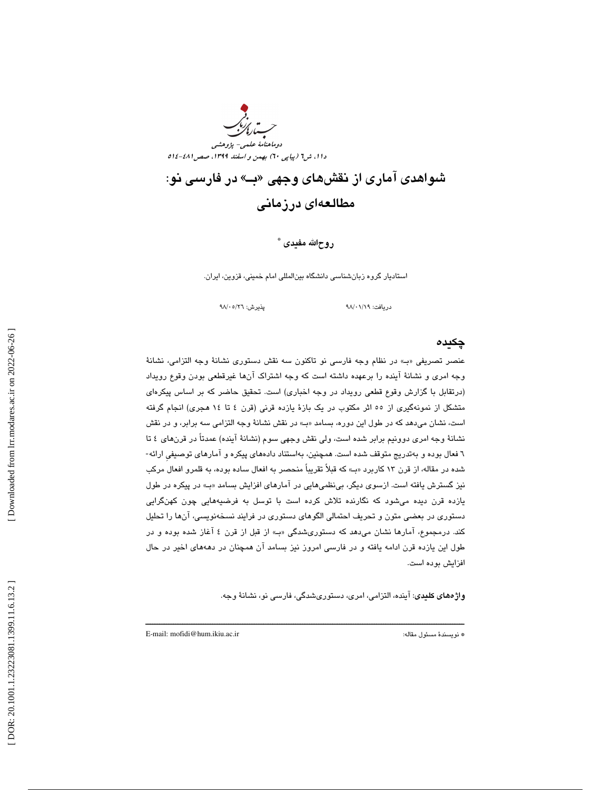

# شىواهدى آمارى از نقش@اى وجهى «بــ» در فارسى نو: مطالعهاي درزماني

\* روحاالله مفيدي

استاديار گروه زبانشناسي دانشگاه بينالمللي امام خميني، قزوين، ايران.

دريافت: ٩٨/٠١/١٩

## چكيده

عنصر تصريفي » بـ« در نظام وجه فارسي نو تاكنون سه نقش دستوري نشانة وجه التزامي، نشانة وجه امري و نشانة آينده را برعهده داشته است كه وجه اشتراك آنها غيرقطعي بودن وقوع رويداد (درتقابل با گزارش وقوع قطعي رويداد در وجه اخباري) است. تحقيق حاضر كه بر اساس پيكرهاي متشكل از نمونهگيري از 55 اثر مكتوب در يك بازة يازده قرني (قرن 4 تا 14 هجري) انجام گرفته است، نشان مي دهد كه در طول اين دوره، بسامد «ب» در نقش نشانهٔ وجه التزامي سه برابر، و در نقش نشانة وجه امري دوونيم برابر شده است، ولي نقش وجهي سوم (نشانة آينده) عمدتاً در قرنهاي 4 تا 6 فعال بوده و بهتدريج متوقف شده است. همچنين، بهاستناد دادههاي پيكره و آمارهاي توصيفيِ ارائه- شده در مقاله، از قرن 13 كاربرد » بـ« كه قبلاً تقريباً منحصر به افعال ساده بوده، به قلمرو افعال مركب نيز گسترش يافته است. ازسوي ديگر، بيiظميهايي در آمارهاي افزايش بسامد «بـ» در پيكره در طول يازده قرن ديده ميشود كه نگارنده تلاش كرده است با توسل به فرضيههايي چون كهنگرايي دستوري در بعضي متون و تحريف احتمالي الگوهاي دستوري در فرايند نسخهنويسي، آنها را تحليل كند. درمجموع، آمارها نشان مىدهد كه دستورىشدگى «بـ» از قبل از قرن ٤ آغاز شده بوده و در طول اين يازده قرن ادامه يافته و در فارسي امروز نيز بسامد آن همچنان در دهههاي اخير در حال افزايش بوده است.

ــــــــــــــــــــــــــــــــــــــــــــــــــــــــــــــــــــــــــــــــــــــــــــــــــــــــــــــــــــــــــــــــــــــــــ

واژههاي كليدي: آينده، التزامي، امري، دستوريشدگي، فارسي نو، نشانة وجه.

E-mail: mofidi@hum.ikiu.ac.ir :مقاله مسئول نويسندة\*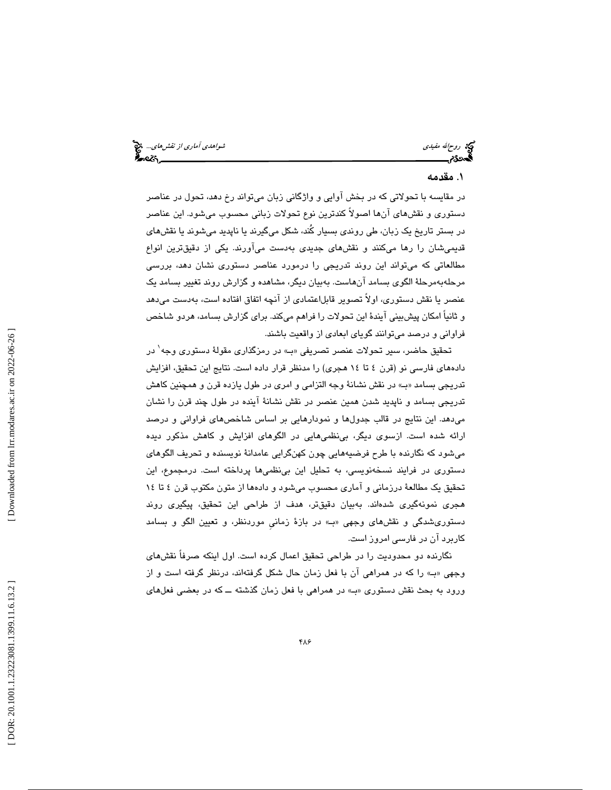روحاالله مفيدي شواهدي آماري از نقشهاي...

## . مقدمه 1

در مقايسه با تحولاتي كه در بخش آوايي و واژگاني زبان ميتواند رخ دهد، تحول در عناصر دستوري و نقشهاي آنها اصولاً كندترين نوع تحولات زباني محسوب ميشود. اين عناصر در بستر تاريخ يك زبان، طي روندي بسيار كُند، شكل ميگيرند يا ناپديد ميشوند يا نقشهاي قديميشان را رها ميكنند و نقشهاي جديدي بهدست ميآورند. يكي از دقيقترين انواع مطالعاتي كه ميتواند اين روند تدريجي را درمورد عناصر دستوري نشان دهد، بررسي مرحلهبهمرحلة الگوي بسامد آنهاست. بهبيان ديگر، مشاهده و گزارش روند تغيير بسامد يك عنصر يا نقش دستوري، اولاً تصوير قابلاعتمادي از آنچه اتفاق افتاده است، بهدست ميدهد و ثانياً امكان پيشبيني آيندة اين تحولات را فراهم ميكند. براي گزارش بسامد، هردو شاخص فراواني و درصد ميتوانند گوياي ابعادي از واقعيت باشند.

تحقيق حاضر، سير تحولات عنصر تصريفي «بـ» در رمزگذاري مقولهٔ دستوري وجه<sup>\</sup> در دادههاي فارسي نو (قرن 4 تا 14 هجري) را مدنظر قرار داده است. نتايج اين تحقيق، افزايش تدريجي بسامد «ب» در نقش نشانة وجه التزامي و امري در طول يازده قرن و همچنين كاهش تدريجي بسامد و ناپديد شدن همين عنصر در نقش نشانة آينده در طول چند قرن را نشان ميدهد. اين نتايج در قالب جدولها و نمودارهايي بر اساس شاخصهاي فراواني و درصد ارائه شده است. ازسوي ديگر، بينظميهايي در الگوهاي افزايش و كاهش مذكور ديده ميشود كه نگارنده با طرح فرضيههايي چون كهنگرايي عامدانة نويسنده و تحريف الگوهاي دستوري در فرايند نسخهنويسي، به تحليل اين بينظمي ها پرداخته است. درمجموع، اين تحقيق يك مطالعة درزماني و آماري محسوب ميشود و دادهها از متون مكتوب قرن 4 تا 14 هجري نمونهگيري شدهاند. بهبيان دقيقتر، هدف از طراحي اين تحقيق، پيگيري روند دستوريشدگي و نقشهاي وجهي بـ« » در بازة زمانيِ موردنظر، و تعيين الگو و بسامد كاربرد آن در فارسي امروز است.

نگارنده دو محدوديت را در طراحي تحقيق اعمال كرده است. اول اينكه صرفاً نقشهاي وجهي «ب» را كه در همراهي آن با فعل زمان حال شكل گرفتهاند، درنظر گرفته است و از ورود به بحث نقش دستوري «ب» در همراهي با فعل زمان گذشته ــ كه در بعضي فعلهاي

 [\[ DOR: 20.1001.1.23223081.1399.11.6.13](https://dorl.net/dor/20.1001.1.23223081.1399.11.6.13.2).2 ] [\[ Downloaded from lrr.modares.ac.ir on 20](https://lrr.modares.ac.ir/article-14-31419-fa.html)22-06-26 ] Downloaded from lrr.modares.ac.ir on 2022-06-26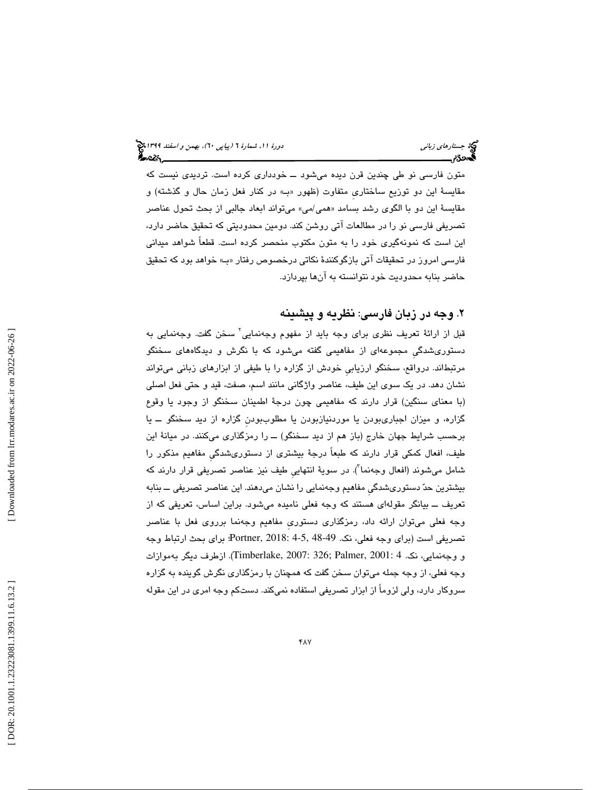متون فارسي نو طي چندين قرن ديده مي شود ـــ خودداري كرده است. ترديدي نيست كه مقايسة اين دو توزيع ساختاريِ متفاوت (ظهور بـ« » در كنار فعل زمان حال و گذشته) و مقايسهٔ اين دو با الگوی رشد بسامد «*همي ام*ي» ميتواند ابعاد جالبي از بحث تحول عناصر تصريفي فارسي نو را در مطالعات آتي روشن كند. دومين محدوديتي كه تحقيق حاضر دارد، اين است كه نمونهگيري خود را به متون مكتوب منحصر كرده است. قطعاً شواهد ميداني فارسي امروز در تحقيقات آتي بازگوكنندهٔ نكاتي درخصوص رفتار «ب» خواهد بود كه تحقيق حاضر بنابه محدوديت خود نتوانسته به آنها بپردازد.

## . وجه در زبان فارسي: نظريه و پيشينه 2

قبل از ارائة تعريف نظري براي وجه بايد از مفهوم وجهنمايي 2 سخن گفت. وجهنمايي به دستوريشدگيِ مجموعهاي از مفاهيمي گفته ميشود كه با نگرش و ديدگاههاي سخنگو مرتبطاند. درواقع، سخنگو ارزيابيِ خودش از گزاره را با طيفي از ابزارهاي زباني ميتواند نشان دهد. در يك سوي اين طيف، عناصر واژگاني مانند اسم، صفت، قيد و حتي فعل اصلي (با معناي سنگين) قرار دارند كه مفاهيمي چون درجة اطمينان سخنگو از وجود يا وقوع گزاره، و ميزان اجباريبودن يا موردنيازبودن يا مطلوببودنِ گزاره از ديد سخنگو ــ يا برحسب شرايط جهان خارج (باز هم از ديد سخنگو) ــ را رمزگذاري ميكنند. در ميانة اين طيف، افعال كمكي قرار دارند كه طبعاً درجة بيشتري از دستوريشدگيِ مفاهيم مذكور را شامل میشوند (افعال وجهنما"). در سویهٔ انتهایی طیف نیز عناصر تصریفی قرار دارند که بيشترين حد دستوريشدگيِ مفاهيم وجهنمايي را نشان ميدهند. اين عناصر تصريفي ــ بنابه تعريف ــ بيانگر مقوله اي هستند كه وجه فعلي ناميده ميشود. براين اساس، تعريفي كه از وجه فعلي ميتوان ارائه داد، رمزگذاري دستوريِ مفاهيم وجهنما برروي فعل با عناصر تصريفي است (براي وجه فعلي، نك. 48-49 4-5, 2018: ,Portner؛ براي بحث ارتباط وجه و وجهنمايي، نك. 4 2001: ,Palmer; 326 2007: ,Timberlake(. ازطرف ديگر بهموازات وجه فعلي، از وجه جمله ميتوان سخن گفت كه همچنان با رمزگذاري نگرش گوينده به گزاره سروكار دارد، ولي لزوماً از ابزار تصريفي استفاده نميكند. دستكم وجه امري در اين مقوله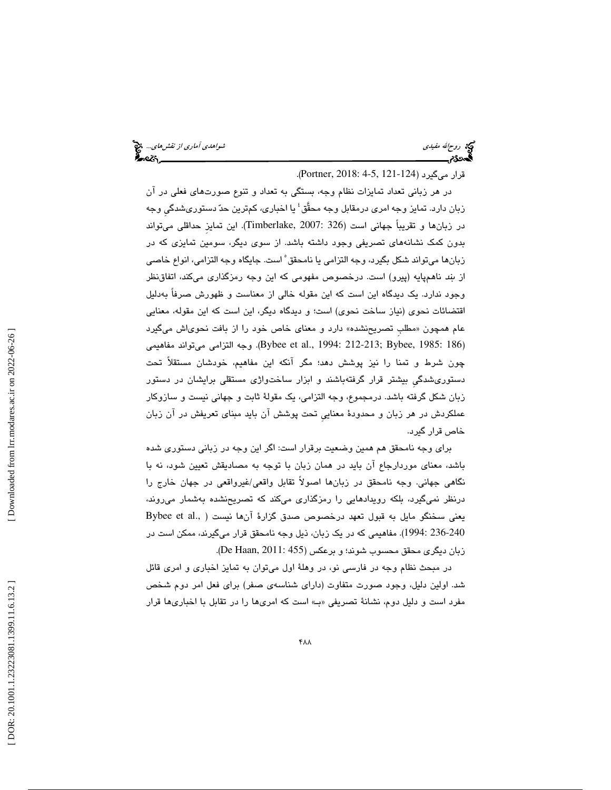ريم الله مفيدي شواهدي آماري *از نقشهاي...*. المجمع الله من الله مع الله من الله من الله من الله من الله من الله<br>ال**له بين الله من الله من الله من الله من الله من الله من الله من الله من الله من الله من الله من الله من الل** 

قرار میگیرد (124-121 Portner, 2018: 4-5, 4-1).

در هر زباني تعداد تمايزات نظام وجه، بستگي به تعداد و تنوع صورتهاي فعلي در آن زبان دارد. تمایز وجه امری درمقابل وجه محقَّق<sup>؛</sup> یا اخباری، کمترین حدّ دستوریشدگی وجه در زبانها و تقريباً جهاني است (326 2007: ,Timberlake(. اين تمايزِ حداقلي ميتواند بدون كمك نشانههاي تصريفي وجود داشته باشد. از سوي ديگر، سومين تمايزي كه در زبانها ميتواند شكل بگيرد، وجه التزامي يا نامحقق 5 است. جايگاه وجه التزامي، انواع خاصي از بند ناهمپايه (پيرو) است. درخصوص مفهومي كه اين وجه رمزگذاري ميكند، اتفاقنظر وجود ندارد. يك ديدگاه اين است كه اين مقوله خالي از معناست و ظهورش صرفاً بهدليل اقتضائات نحوي (نياز ساخت نحوي) است؛ و ديدگاه ديگر، اين است كه اين مقوله، معنايي عام همچون «مطلب تصريحنشده» دارد و معناي خاص خود را از بافت نحوي\ش ميگيرد (186 1985: Bybee et al., 1994: 212-213; Bybee, 1985: وجه التزامي ميتواند مفاهيمي. چون شرط و تمنا را نيز پوشش دهد؛ مگر آنكه اين مفاهيم، خودشان مستقلاً تحت دستوريشدگيِ بيشتر قرار گرفتهباشند و ابزار ساختواژي مستقلي برايشان در دستور زبان شكل گرفته باشد. درمجموع، وجه التزامي، يك مقولة ثابت و جهاني نيست و سازوكار عملكردش در هر زبان و محدودة معناييِ تحت پوشش آن بايد مبناي تعريفش در آن زبان خاص قرار گيرد.

براي وجه نامحقق هم همين وضعيت برقرار است: اگر اين وجه در زباني دستوري شده باشد، معناي موردارجاع آن بايد در همان زبان با توجه به مصاديقش تعيين شود، نه با نگاهي جهاني. وجه نامحقق در زبانها اصولاً تقابل واقعي/غيرواقعي در جهان خارج را درنظر نميگيرد، بلكه رويدادهايي را رمزگذاري ميكند كه تصريحنشده بهشمار ميروند، يعني سخنگو مايل به قبول تعهد درخصوص صدق گزارهٔ آنها نيست ( .,Bybee et al 236-240 1994:). مفاهيمي كه در يك زبان، ذيل وجه نامحقق قرار ميگيرند، ممكن است در زبان ديگري محقق محسوب شوند؛ و برعكس (De Haan, 2011: 455).

در مبحث نظام وجه در فارسي نو، در وهلة اول ميتوان به تمايز اخباري و امري قائل شد. اولين دليل، وجود صورت متفاوت (داراي شناسهي صفر) براي فعل امر دوم شخص مفرد است و دليل دوم، نشانهٔ تصريفي «بـ» است كه امريها را در تقابل با اخباريها قرار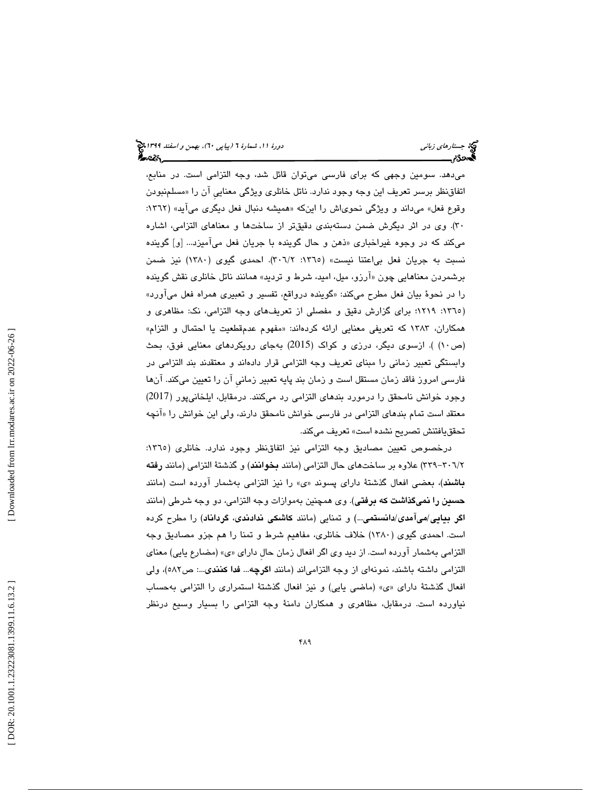ميدهد. سومين وجهي كه براي فارسي ميتوان قائل شد، وجه التزامي است. در منابع، اتفاقنظر برسر تعريف اين وجه وجود ندارد. ناتل خانلري ويژگي معنايي ان را «مسلمنبودن وقوع فعل» میداند و ویژگی نحویاش را اینکه «همیشه دنبال فعل دیگری می[ید» (۱۳٦۲: 30). وي در اثر ديگرش ضمن دستهبندي دقيقتر از ساختها و معناهاي التزامي، اشاره میکند که در وجوه غیراخباری «ذهن و حال گوینده با جریان فعل میامیزد… [و] گوینده نسبت به جريان فعل بياعتنا نيست» (1365 :2/ 306). احمدي گيوي (1380) نيز ضمن برشمردن معناهایی چون «ارزو، میل، امید، شرط و تردید» همانند ناتل خانلری نقش گوینده را در نحوهٔ بیان فعل مطرح میکند: «گوینده درواقع، تفسیر و تعبیری همراه فعل می[ورد» (١٣٦٥: ١٢١٩؛ براي گزارش دقيق و مفصلي از تعريفهاي وجه التزامي، نک: مظاهري و همكاران، ۱۳۸۳ كه تعريفي معنايي ارائه كردهاند: «مفهوم عدمقطعيت يا احتمال و التزام» (ص10) ). ازسوي ديگر، درزي و كواك (2015) بهجاي رويكردهاي معنايي فوق، بحث وابستگي تعبير زماني را مبناي تعريف وجه التزامي قرار دادهاند و معتقدند بند التزامي در فارسي امروز فاقد زمان مستقل است و زمان بند پايه تعبير زمانيِ آن را تعيين ميكند. آنها وجود خوانش نامحقق را درمورد بندهاي التزامي رد ميكنند. درمقابل، ايلخانيپور (2017) معتقد است تمام بندهای التزامی در فارسی خوانش نامحقق دارند، ولی این خوانش را «انچه تحققيافتنش تصريح نشده است» تعريف ميكند.

درخصوص تعيين مصاديق وجه التزامي نيز اتفاقنظر وجود ندارد. خانلري (١٣٦٥: 2/ -306 339) علاوه بر ساختهاي حال التزامي (مانند بخوانند) و گذشتة التزامي (مانند رفته **باشند**)، بعضی افعال گذشتهٔ دارای پسوند «ی» را نیز التزامی بهشمار آورده است (مانند حسين را نميگذاشت كه برفتي). وي همچنين بهموازات وجه التزامي، دو وجه شرطي (مانند اگر بيايي/ميآمدي/دانستمي...) و تمنايي (مانند كاشكي ندادندي، گرداناد) را مطرح كرده است. احمدي گيوي (1380) خلاف خانلري، مفاهيم شرط و تمنا را هم جزو مصاديق وجه التزامی بهشمار اورده است. از دید وی اگر افعال زمان حال دارای «ی» (مضارع یایی) معنای التزامي داشته باشند، نمونهاي از وجه التزامياند (مانند اگرچه... فدا كنندي:... ص582)، ولي افعال گذشتهٔ دارای «ی» (ماضی یایی) و نیز افعال گذشتهٔ استمراری را التزامی بهحساب نياورده است. درمقابل، مظاهري و همكاران دامنة وجه التزامي را بسيار وسيع درنظر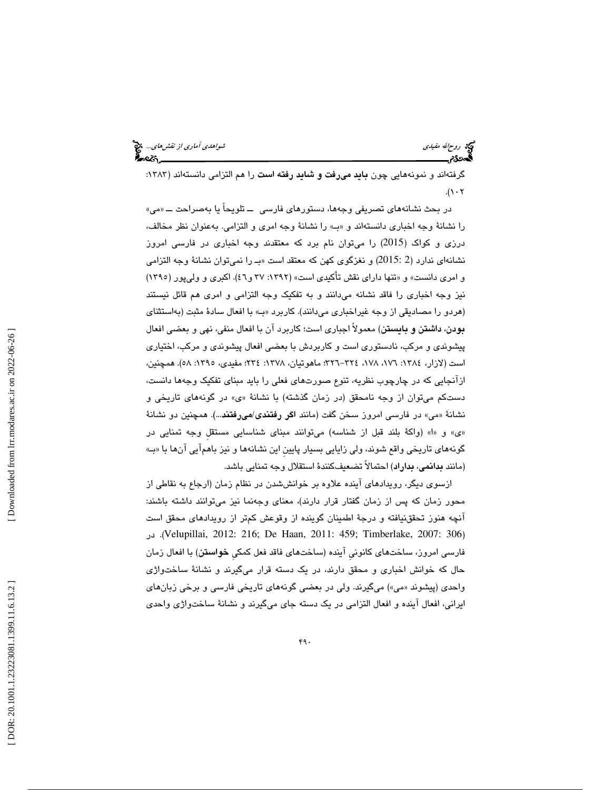ريم الله مفيدي شواهدي آماري *از نقشهاي...*. المجمع الله من الله مع الله من الله من الله من الله من الله من الله<br>ال**له بين الله من الله من الله من الله من الله من الله من الله من الله من الله من الله من الله من الله من الل** 

گرفتهاند و نمونههايي چون **بايد ميرفت و شايد رفته است** را هم التزامي دانستهاند (١٣٨٣:  $.(\lambda \cdot \tau)$ 

در بحث نشانههای تصریفی وجهها، دستورهای فارسی ــ تلویحاً یا بهصراحت ـــ «می» را نشانة وجه اخباري دانستهاند و » بـ« را نشانة وجه امري و التزامي. بهعنوان نظر مخالف، درزي و كواك (2015) را ميتوان نام برد كه معتقدند وجه اخباري در فارسي امروز نشانهای ندارد (2 :2015) و نغزگوی کهن که معتقد است «بـ را نمیتوان نشانهٔ وجه التزامی و امري دانست» و «تنها داراي نقش تأكيدي است» (١٣٩٢: ٣٧ و٤٦). اكبري و وليپور (١٣٩٥) نيز وجه اخباري را فاقد نشانه ميدانند و به تفكيك وجه التزامي و امري هم قائل نيستند (هردو را مصاديقي از وجه غيراخباري مي دانند). كاربرد «ب» با افعال سادة مثبت (بهاستثناي بودن، داشتن و بايستن) معمولاً اجباري است؛ كاربرد آن با افعال منفي، نهي و بعضي افعال پيشوندي و مركب، نادستوري است و كاربردش با بعضي افعال پيشوندي و مركب، اختياري است (لازار، ١٣٨٤: ١٧٦، ١٧٨، ٢٢٤–٣٢٦؛ ماهوتيان، ١٣٧٨: ٢٣٤؛ مفيدي، ١٣٩٥: ٥٨). همچنين، ازآنجايي كه در چارچوب نظريه، تنوع صورتهاي فعلي را بايد مبناي تفكيك وجهها دانست، دستکم میتوان از وجه نامحقق (در زمان گذشته) با نشانهٔ «ی» در گونههای تاریخی و نشانهٔ «می» در فارسی امروز سخن گفت (مانند ا**گر رفتندی/میرفتند**...). همچنین دو نشانهٔ «ی» و «ا» (واکهٔ بلند قبل از شناسه) میتوانند مبنای شناسایی مستقل وجه تمنایی در گونههاي تاريخي واقع شوند، ولي زايايي بسيار پايينِ اين نشانهها و نيز باهمآيي آنها با » بـ« (مانند بدانمي، بداراد) احتمالاً تضعيفكنندة استقلال وجه تمنايي باشد.

ازسوي ديگر، رويدادهاي آينده علاوه بر خوانششدن در نظام زمان (ارجاع به نقاطي از محور زمان كه پس از زمان گفتار قرار دارند)، معناي وجهنما نيز ميتوانند داشته باشند: آنچه هنوز تحققنيافته و درجة اطمينان گوينده از وقوعش كمتر از رويدادهاي محقق است در .)Velupillai, 2012: 216; De Haan, 2011: 459; Timberlake, 2007: 306 ) فارسي امروز، ساختهاي كانونيِ آينده (ساختهاي فاقد فعل كمكيِ خواستن) با افعال زمان حال كه خوانش اخباري و محقق دارند، در يك دسته قرار ميگيرند و نشانة ساختواژي واحدی (پیشوند «می») میگیرند. ولی در بعضی گونههای تاریخی فارسی و برخی زبانهای يراني، افعال آينده و افعال التزامي در يك دسته جاي ميگيرند و نشانة ساختواژي واحدي ا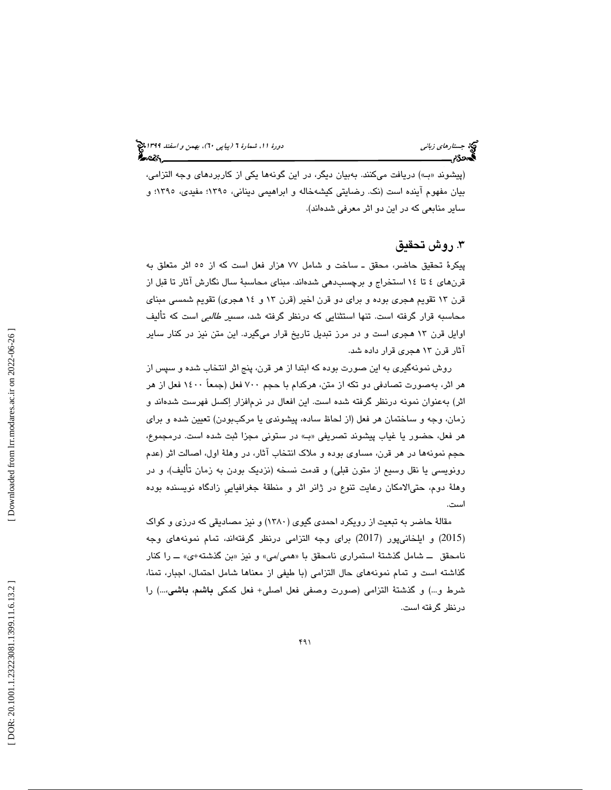(پيشوند بـ« ») دريافت ميكنند. بهبيان ديگر، در اين گونهها يكي از كاربردهاي وجه التزامي، بيان مفهوم آينده است (نك. رضايتي كيشهخاله و ابراهيمي ديناني، 1395؛ مفيدي، 1395؛ و ساير منابعي كه در اين دو اثر معرفي شدهاند).

## . روش تحقيق 3

پيكرة تحقيق حاضر، محقق ـ ساخت و شامل 77 هزار فعل است كه از 55 اثر متعلق به قرنهاي تا 4 14 استخراج و برچسبدهي شدهاند. مبناي محاسبة سال نگارش آثار تا قبل از قرن 13 تقويم هجري بوده و براي دو قرن اخير (قرن و 13 14 هجري) تقويم شمسي مبناي محاسبه قرار گرفته است. تنها استثنايي كه درنظر گرفته شد، مسير طالبي است كه تأليف اوايل قرن 13 هجري است و در مرز تبديل تاريخ قرار ميگيرد. اين متن نيز در كنار ساير آثار قرن 13 هجري قرار داده شد.

روش نمونهگيري به اين صورت بوده كه ابتدا از هر قرن، پنج اثر انتخاب شده و سپس از هر اثر، بهصورت تصادفي دو تكه از متن، هركدام با حجم 700 فعل (جمعاً 1400 فعل از هر عنوان نمونه درنظر گرفته شده است. اين افعال در نرمافزار اكسل فهرست شدهاند و اثر) به زمان، وجه و ساختمان هر فعل (از لحاظ ساده، پيشوندي يا مركببودن) تعيين شده و براي هر فعل، حضور يا غياب پيشوند تصريفي » بـ« در ستوني مجزا ثبت شده است. درمجموع، حجم نمونهها در هر قرن، مساوي بوده و ملاك انتخاب آثار، در وهلة اول، اصالت اثر (عدم رونويسي يا نقل وسيع از متون قبلي) و قدمت نسخه (نزديك بودن به زمان تأليف)، و در وهلة دوم، حتيالامكان رعايت تنوع در ژانر اثر و منطقة جغرافياييِ زادگاه نويسنده بوده است.

مقالة حاضر به تبعيت از رويكرد احمدي گيوي (1380) و نيز مصاديقي كه درزي و كواك 2015) و ايلخانيپور (2017) براي وجه التزامي درنظر گرفتهاند، تمام نمونههاي وجه ) نامحقق ـــ شامل گذشتهٔ استمراری نامحقق با «همی/می» و نیز «بن گذشته+ی» ـــ را کنار گذاشته است و تمام نمونههاي حال التزامي (با طيفي از معناها شامل احتمال، اجبار، تمنا، شرط و...) و گذشتة التزامي (صورت وصفي فعل اصلي+ فعل كمكي باشم، باشي...،) را درنظر گرفته است.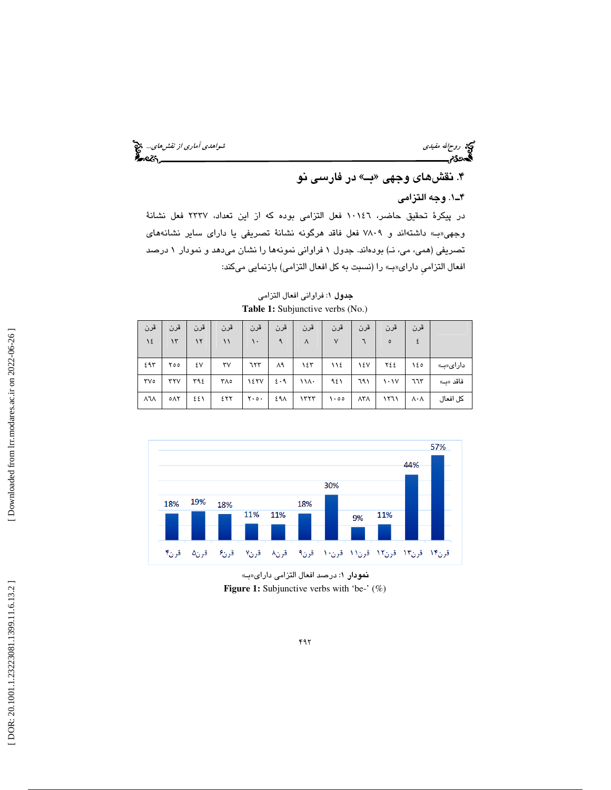ريمج الله مفيدي شواهدي آماري *از نقش هاي...*. وفق<sup>ع</sup> آماري *از نقش هاي...*. وفق<mark>ع آماري از نقش هاي... وفق</mark><br>**آگست 23م الله عليه الله عليه الله عليه الله عليه الله عليه الله عليه الله عليه الله عليه الله عليه الله عليه ا** 

## ۴. نقشهای وجهی «بـ» در فارسی نو

## 1ـ4 . وجه التزامي

در پيكرة تحقيق حاضر، 10146 فعل التزامي بوده كه از اين تعداد، 2337 فعل نشانة وجهي بـ« » داشتهاند و 7809 فعل فاقد هرگونه نشانة تصريفي يا داراي ساير نشانههاي تصريفي (همي، مي، نـ) بودهاند. جدول 1 فراواني نمونهها را نشان ميدهد و نمودار 1 درصد افعال التزامي داراي«ب» را (نسبت به كل افعال التزامي) بازنمايي ميكند:

| قرن                | قرن | قرن | قرن          | قرن               | قرن           | قرن      | قرن                 | قرن                   | قرن                             | قرن                   |          |
|--------------------|-----|-----|--------------|-------------------|---------------|----------|---------------------|-----------------------|---------------------------------|-----------------------|----------|
| 12                 | ۱۳  | ۱۲  | $\backslash$ | ١.                | $\mathcal{A}$ | $\wedge$ | $\vee$              |                       | $\circ$                         | ٤                     |          |
| ٤٩٣                | ۲٥٥ | ٤٧  | ٣٧           | 777               | ۸۹            | ۱٤٣      | ١١٤                 | ١٤V                   | ٢٤٤                             | ۱٤٥                   | دارای«ب» |
| $\forall\vee\circ$ | rrv | ٣٩٤ | ۳۸٥          | <b>12TV</b>       | $2 \cdot 9$   | ۱۱۸۰     | ۹٤١                 | ٦٩١                   | $\lambda \cdot \lambda \lambda$ | ٦٦٣                   | فاقد «ب» |
| <b>ATA</b>         | ٥٨٢ | ٤٤١ | ٤٢٢          | $Y \cdot o \cdot$ | ٤٩٨           | 1557     | $\cdot \circ \circ$ | $\Lambda$ ۳ $\Lambda$ | ۱۲٦۱                            | $\wedge \cdot \wedge$ | كل افعال |

جدول : 1 فراواني افعال التزامي **Table 1:** Subjunctive verbs (No.)



نمودار ١: درصد افعال التزامي داراي«ب» **Figure 1:** Subjunctive verbs with 'be-' (%)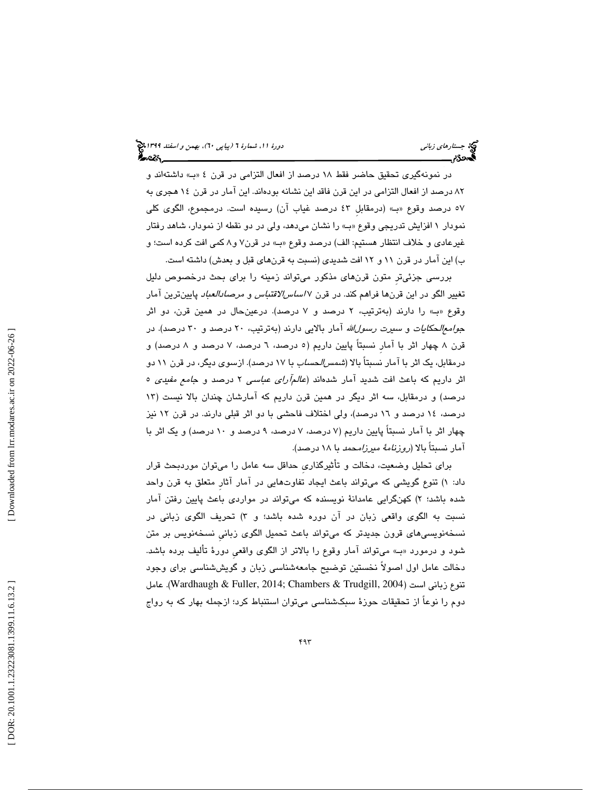در نمونهگيري تحقيق حاضر فقط 18 درصد از افعال التزامي در قرن » بـ« 4 داشتهاند و ۸۲ درصد از افعال التزامی در این قرن فاقد این نشانه بودهاند. این امار در قرن ۱۶ هجری به 57 درصد وقوع بـ« » (درمقابلِ 43 درصد غياب آن) رسيده است. درمجموع، الگوي كلي نمودار 1 افزايش تدريجي وقوع » بـ« را نشان ميدهد، ولي در دو نقطه از نمودار، شاهد رفتار غيرعادي و خلاف انتظار هستيم: الف) درصد وقوع » بـ« در قرن 8و 7 كمي افت كرده است؛ و ب) اين آمار در قرن ١١ و ١٢ افت شديدي (نسبت به قرنهاي قبل و بعدش) داشته است.

بررسي جزئيترِ متون قرنهاي مذكور ميتواند زمينه را براي بحث درخصوص دليل تغيير الگو در اين قرنها فراهم كند. در قرن 7 اساسالاقتباس و مرصادالعباد پايينترين آمار وقوع بـ« » را دارند (بهترتيب، 2 درصد و 7 درصد). درعينحال در همين قرن، دو اثر ج*وامعالحكايات و سيرت رسول الله* آمار بالايي دارند (بهترتيب، ٢٠ درصد و ٣٠ درصد). در قرن ۸ چهار اثر با آمار نسبتاً پايين داريم (٥ درصد، ٦ درصد، ۷ درصد) و درمقابل، يک اثر با آمار نسبتاً بالا (*شمس|لحساب* با ۱۷ درصد). ازسوی ديگر، در قرن ۱۱ دو اثر داريم كه باعث افت شديد آمار شدهاند (*عالمآراي عباسي* ۲ درصد و ج*امع مفيدي* ٥ درصد) و درمقابل، سه اثر ديگر در همين قرن داريم كه آمارشان چندان بالا نيست ( 13 درصد، 14 درصد و 16 درصد)، ولي اختلاف فاحشي با دو اثر قبلي دارند. در قرن 12 نيز چهار اثر با آمار نسبتاً پايين داريم ( 7 درصد، د 7 رصد، 9 درصد و 10 درصد) و يك اثر با آمار نسبتاً بالا (روزنامة ميرزامحمد با 18 درصد).

براي تحليل وضعيت، دخالت و تأثيرگذاريِ حداقل سه عامل را ميتوان موردبحث قرار ) تنوع گويشي كه ميتواند باعث ايجاد تفاوتهايي در آمار آثارِ متعلق به قرن واحد داد: 1 شده باشد؛ ۲) كهنگرايی عامدانهٔ نویسنده كه میتواند در مواردی باعث پایین رفتن امار نسبت به الگوی واقعی زبان در ان دوره شده باشد؛ و ۳) تحریف الگوی زبانی در نسخهنويسيهاي قرون جديدتر كه ميتواند باعث تحميل الگوي زبانيِ نسخهنويس بر متن شود و درمورد » بـ« ميتواند آمار وقوع را بالاتر از الگوي واقعيِ دورة تأليف برده باشد. دخالت عامل اول اصولاً نخستين توضيح جامعهشناسي زبان و گويششناسي براي وجود تنوع زباني است (2004 ,Wardhaugh & Fuller, 2014; Chambers & Trudgill, عامل دوم را نوعاً از تحقيقات حوزة سبكشناسي ميتوان استنباط كرد؛ ازجمله بهار كه به رواج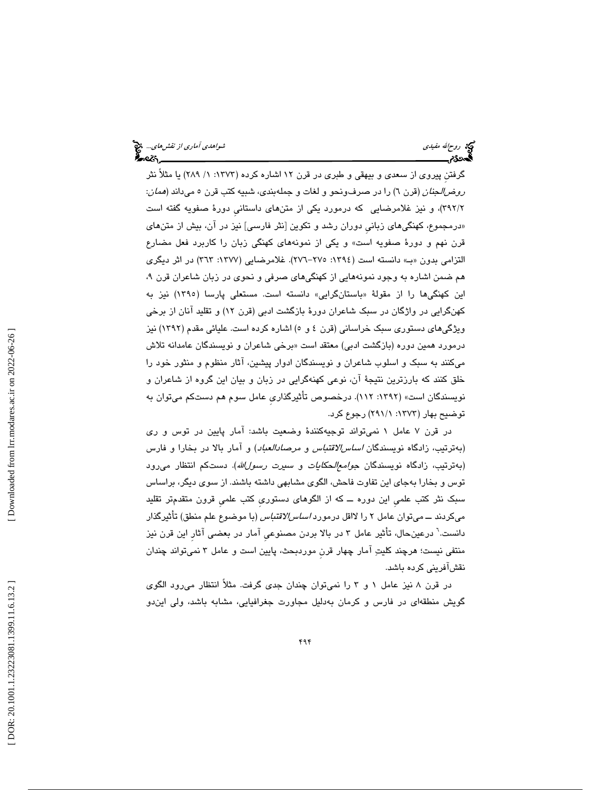گرفتنِ پيروي از سعدي و بيهقي و طبري در قرن 12 اشاره كرده (1373 :1 / 289) يا مثلاً نثر *روضالجنان* (قرن ٦) را در صرفونحو و لغات و جملهبندي، شبيه كتب قرن ٥ ميداند (*همان*: 2/ 392)، و نيز غلامرضايي كه درمورد يكي از متنهاي داستانيِ دورة صفويه گفته است «درمجموع، كهنگي $\bm{s}$ اى زبانى دوران رشد و تكوين [نثر فارسى] نيز در ان، بيش از متن $\bm{s}$ اى قرن نهم و دورة صفويه است» و يكي از نمونههاي كهنگي زبان را كاربرد فعل مضارع التزامي بدون «ب» دانسته است (١٣٩٤: ٢٧٥–٢٧٦). غلامرضايي (١٣٧٧: ٣٦٣) در اثر ديگري هم ضمن اشاره به وجود نمونههايي از كهنگيهاي صرفي و نحوي در زبان شاعران قرن ، 9 اين كهنگیها را از مقولهٔ «باستانگرايی» دانسته است. مستعلی پارسا (۱۳۹۰) نيز به كهنگرايي در واژگان در سبك شاعران دورة بازگشت ادبي (قرن 12) و تقليد آنان از برخي ويژگيهاي دستوري سبك خراساني (قرن 5و 4 ) اشاره كرده است. عليائي مقدم (1392) نيز درمورد همين دوره (بازگشت ادبی) معتقد است «برخی شاعران و نويسندگان عامدانه تلاش ميكنند به سبك و اسلوب شاعران و نويسندگان ادوار پيشين، آثار منظوم و منثور خود را خلق كنند كه بارزترين نتيجة آن، نوعي كهنهگرايي در زبان و بيان اين گروه از شاعران و نويسندگان است» (:1392 112). درخصوص تأثيرگذاريِ عامل سوم هم دستكم ميتوان به توضيح بهار (1373 :1/ 291) رجوع كرد.

در قرن 7 عامل 1 نميتواند توجيهكنندة وضعيت باشد: آمار پايين در توس و ري (بهترتيب، زادگاه نويسندگان اساسالاقتباس و مرصادالعباد) و آمار بالا در بخارا و فارس (بهترتيب، زادگاه نويسندگان *جوامع|لحكايات و سيرت رسول|لله*). دستكم انتظار مىرود توس و بخارا بهجاي اين تفاوت فاحش، الگوي مشابهي داشته باشند. از سوي ديگر، براساس سبك نثر كتب علميِ اين دوره ــ كه از الگوهاي دستوريِ كتب علميِ قرون متقدمتر تقليد ميكردند ـــ ميتوان عامل ٢ را لااقل درمورد *اساسالاقتباس* (با موضوع علم منطق) تأثيرگذار دانست. 6 درعينحال، تأثير عامل 3 در بالا بردن مصنوعيِ آمار در بعضي آثارِ اين قرن نيز منتفي نيست؛ هرچند كليت آمار چهار قرنِ موردبحث، پايين است و عامل 3 نميتواند چندان نقشآفريني كرده باشد.

در قرن ۸ نيز عامل ۱ و ۳ را نميتوان چندان جدي گرفت. مثلاً انتظار مي رود الگوي گویش منطقهای در فارس و کرمان بهدلیل مجاورت جغرافیایی، مشابه باشد، ولی ایندو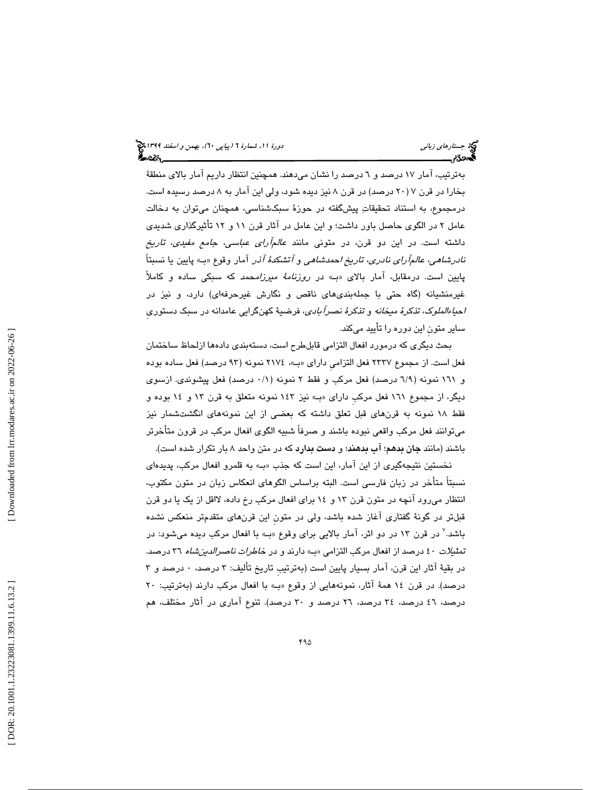بهترتيب، آمار 17 درصد و 6 درصد را نشان ميدهند. همچنين انتظار داريم آمار بالاي منطقة بخارا در قرن ( 7 20 درصد) در قرن 8 نيز ديده شود، ولي اين آمار به 8 درصد رسيده است. درمجموع، به استناد تحقيقات پيشگفته در حوزة سبكشناسي، همچنان ميتوان به دخالت عامل 2 در الگوي حاصل باور داشت؛ و اين عامل در آثار قرن 11 و 12 تأثيرگذاري شديدي داشته است. در اين دو قرن، در متونی مانند *عالمآرای عباسی، جامع مفیدی، تاریخ* ن*ادرشاهي، عالمآراي نادري، تاريخ احمدشاهي و آتشكدهٔ آذر* آمار وقوع «بـ» پايين يا نسبتاً پايين است. درمقابل، آمار بالای «بـ» در *روزنامهٔ میرزامحمد* که سبکی ساده و کاملاً غيرمنشيانه (گاه حتي با جملهبنديهاي ناقص و نگارش غيرحرفهاي) دارد، و نيز در احياءالملوك، تذكرة ميخانه و تذكرة نصرآبادي، فرضية كهنگرايي عامدانه در سبك دستوريِ ساير متونِ اين دوره را تأييد ميكند.

بحث ديگري كه درمورد افعال التزامي قابلطرح است، دستهبندي دادهها ازلحاظ ساختمان فعل است. از مجموع ٢٣٣٧ فعل التزامي داراي «ب»، ٢١٧٤ نمونه (٩٣ درصد) فعل ساده بوده و 161 نمونه ( 9/6 درصد) فعل مركب و فقط 2 نمونه ( 1/0 درصد) فعل پيشوندي. ازسوي ديگر، از مجموع 161 فعل مركبِ داراي » بـ« نيز 143 نمونه متعلق به قرن 13 و 14 بوده و فقط 18 نمونه به قرنهاي قبل تعلق داشته كه بعضي از اين نمونههاي انگشتشمار نيز ميتوانند فعل مركب واقعي نبوده باشند و صرفاً شبيه الگوي افعال مركب در قرون متأخرتر باشند (مانند **جان بدهم**؛ **اب بدهند**؛ و **دست بدارد** كه در متن واحد ۸ بار تكرار شده است).

نخستين نتيجهگيري از اين آمار، اين است كه جذب » بـ« به قلمرو افعال مركب، پديدهاي نسبتاً متأخر در زبان فارسي است. البته براساس الگوهاي انعكاس زبان در متون مكتوب، انتظار مي رود آنچه در متون قرن ١٣ و ١٤ براي افعال مركب رخ داده، لااقل از يك يا دو قرن قبلتر در گونة گفتاري آغاز شده باشد، ولي در متونِ اين قرنهاي متقدمتر منعكس نشده باشد.<sup>۷</sup> در قرن ۱۳ در دو اثر، آمار بالایی برای وقوع «ب» با افعال مرکب دیده میشود: در تمثي*لات ٤٠ د*رصد از افعال مركب التزامي «بـ» دارند و در خ*اطرات ناصرالدين شاه* ٣٦ درصد. در بقية آثار اين قرن، آمار بسيار پايين است (بهترتيبِ تاريخ تأليف: 3 درصد، 0 درصد و 3 درصد). در قرن 14 همة آثار، نمونههايي از وقوع بـ« » با افعال مركب دارند (بهترتيب: 20 درصد، ٤٦ درصد، ٣٤ درصد، ٢٦ درصد و ٣٠ درصد). تنوع آماري در آثار مختلف، هم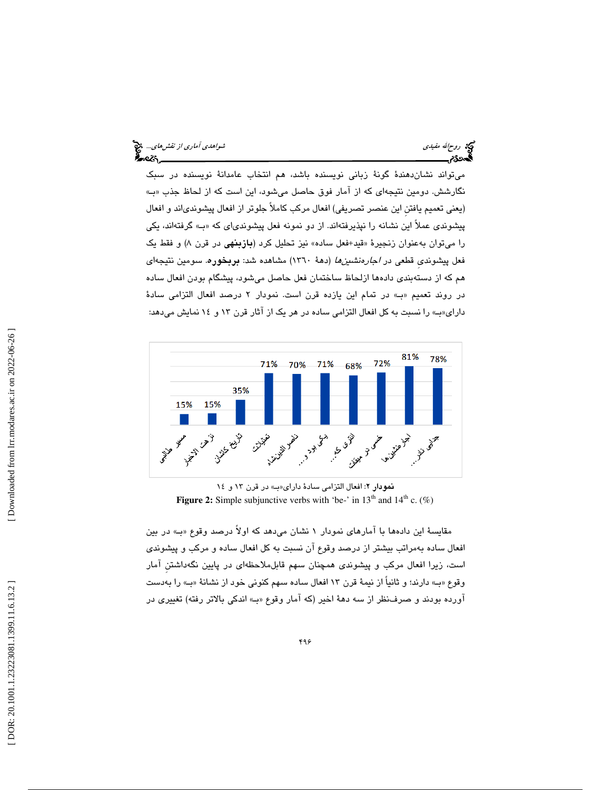| شو <i>اهدی آمادی از نقش های</i> چ <mark>خ</mark> | <b>کیج</b> روح∕الله مفی <i>دی</i><br>کا |
|--------------------------------------------------|-----------------------------------------|
| أحصركم                                           | ಸಿಂಪ                                    |

 ميتواند نشاندهندة گونة زباني نويسنده باشد، هم انتخاب عامدانة نويسنده در سبك نگارشش. دومين نتيجهاي كه از آمار فوق حاصل ميشود، اين است كه از لحاظ جذب » بـ« (يعني تعميم يافتنِ اين عنصر تصريفي) افعال مركب كاملاً جلوتر از افعال پيشوند ياند و افعال پيشوندي عملاً اين نشانه را نپذيرفتهاند. از دو نمونه فعل پيشوندياي كه » بـ« گرفتهاند، يكي را میتوان بهعنوان زنجیرهٔ «قید+فعل ساده» نیز تحلیل کرد (**بازبنهی** در قرن ۸) و فقط یک فعل پیشوندی قطعی در *اجارهنشینها* (دههٔ ۱۳٦۰) مشاهده شد: **بربخوره**. سومین نتیجهای هم كه از دستهبندي دادهها ازلحاظ ساختمان فعل حاصل ميشود، پيشگام بودن افعال ساده در روند تعميم بـ« » در تمام اين يازده قرن است. نمودار 2 درصد افعال التزامي سادة داراي«ب» را نسبت به كل افعال التزامي ساده در هر يك از آثار قرن ١٣ و ١٤ نمايش ميدهد:



نمودار ٢: افعال التزامي سادة داراي «ب» در قرن ١٣ و ١٤ **Figure 2:** Simple subjunctive verbs with 'be-' in  $13<sup>th</sup>$  and  $14<sup>th</sup>$  c. (%)

مقايسة اين دادهها با آمارهاي نمودار ١ نشان مي٥هد كه اولاً درصد وقوع «بـ» در بين افعال ساده بهمراتب بيشتر از درصد وقوع آن نسبت به كل افعال ساده و مركب و پيشوندي است، زيرا افعال مركب و پيشوندي همچنان سهم قابلملاحظهاي در پايين نگهداشتنِ آمار وقوع «ب» دارند؛ و ثانياً از نيمة قرن ١٣ افعال ساده سهم كنوني خود از نشانة «بـ» را بهدست آورده بودند و صرفنظر از سه دههٔ اخير (كه آمار وقوع «بـ» اندكي بالاتر رفته) تغييري در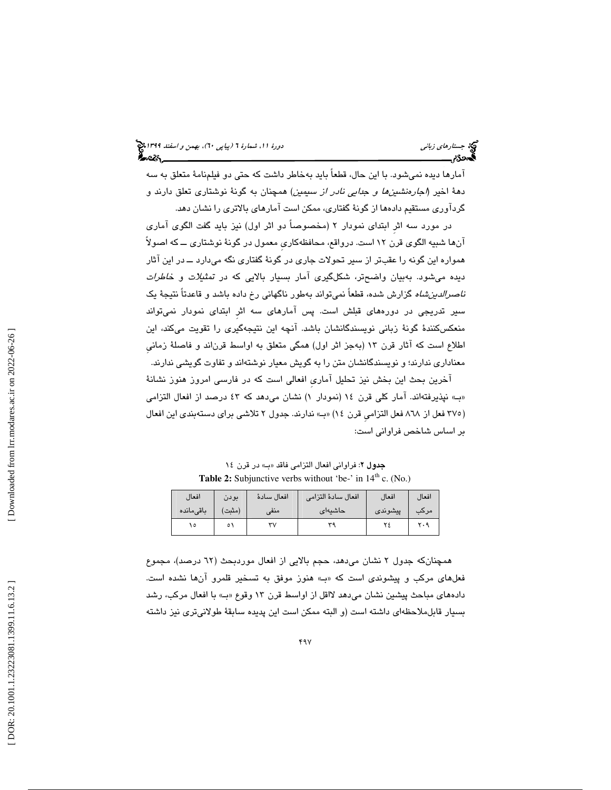آمارها ديده نميشود. با اين حال، قطعاً بايد بهخاطر داشت كه حتي دو فيلمنامة متعلق به سه دهة اخير (اجارهنشينها و جدايي نادر از سيمين) همچنان به گونة نوشتاري تعلق دارند و گردآوري مستقيم دادهها از گونة گفتاري، ممكن است آمارهاي بالاتري را نشان دهد.

در مورد سه اثرِ ابتداي نمودار 2 (مخصوصاً دو اثر اول) نيز بايد گفت الگوي آماري آنها شبيه الگوي قرن 12 است. درواقع، محافظهكاريِ معمول در گونة نوشتاري ــ كه اصولاً همواره اين گونه را عقبتر از سير تحولات جاري در گونة گفتاري نگه ميدارد ــ در اين آثار ديده ميشود. بهبيان واضحتر، شكلگيري آمار بسيار بالايي كه در تمثيلات و خاطرات *ناصرالدين شاه* گزارش شده، قطعاً نميتواند بهطور ناگهاني رخ داده باشد و قاعدتاً نتيجهٔ يک سير تدريجي در دورههاي قبلش است. پس آمارهاي سه اثرِ ابتداي نمودار نميتواند منعكسكنندة گونة زباني نويسندگانشان باشد. آنچه اين نتيجهگيري را تقويت ميكند، اين اطلاع است كه آثار قرن 13 (بهجز اثر اول) همگي متعلق به اواسط قرناند و فاصلة زمانيِ معناداري ندارند؛ و نويسندگانشان متن را به گويش معيار نوشتهاند و تفاوت گويشي ندارند.

آخرين بحث اين بخش نيز تحليل آماريِ افعالي است كه در فارسي امروز هنوز نشانة «ب» نپذیرفتهاند. امار کلی قرن ۱۶ (نمودار ۱) نشان می0هد که ٤٣ درصد از افعال التزامی (٣٧٥ فعل از ٨٦٨ فعل التزامي قرن ١٤) «بـ» ندارند. جدول ٢ تلاشي براي دستهبندي اين افعال بر اساس شاخص فراواني است:

جدول ٢: فراواني افعال التزامي فاقد «ب» در قرن ١٤ **Table 2:** Subjunctive verbs without 'be-' in  $14<sup>th</sup>$  c. (No.)

| افعال     | بودن   | افعال سادة | افعال سادة التزامى | افعال   | افعال |
|-----------|--------|------------|--------------------|---------|-------|
| باقىمانده | (مثبت) | امنف       | حاشيهاي            | پیشوندی | مرکب  |
|           |        |            |                    |         |       |

همچنانكه جدول 2 نشان ميدهد، حجم بالايي از افعال موردبحث ( 62 درصد)، مجموع فعلهاي مركب و پيشوندي است كه بـ« » هنوز موفق به تسخير قلمرو آنها نشده است. دادههاي مباحث پيشين نشان ميدهد لااقل از اواسط قرن ١٣ وقوع «بـ» با افعال مركب، رشد بسيار قابلملاحظهاي داشته است (و البته ممكن است اين پديده سابقة طولاني تري نيز داشته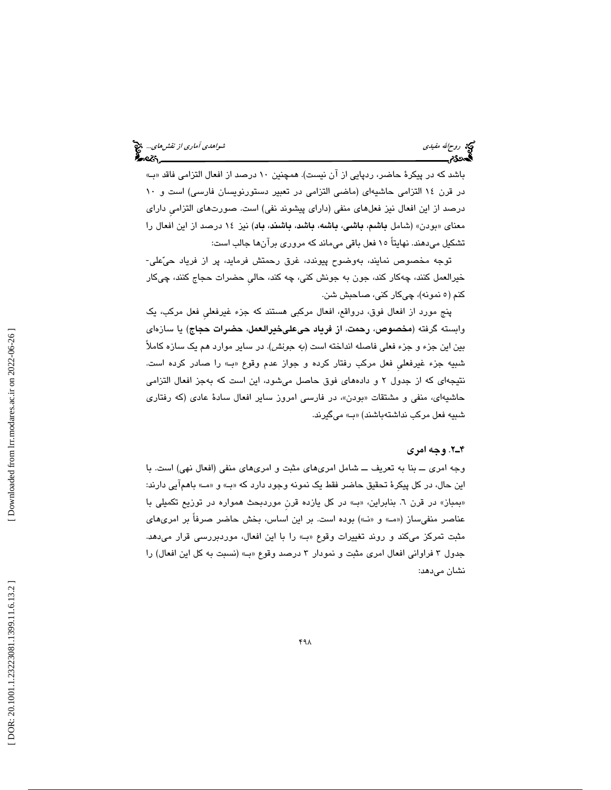# روحاالله مفيدي شواهدي آماري از نقشهاي...

باشد كه در پيكرهٔ حاضر، ردپايي از آن نيست). همچنين ۱۰ درصد از افعال التزامي فاقد «بـ» در قرن 14 التزامي حاشيهاي (ماضي التزامي در تعبير دستورنويسان فارسي) است و 10 درصد از اين افعال نيز فعلهاي منفي (داراي پيشوند نفي) است. صورتهاي التزاميِ داراي معنای «بودن» (شامل **باشم، باشی، باشه، باشد، باشند، باد**) نیز ١٤ درصد از این افعال را تشكيل ميدهند. نهايتاً 15 فعل باقي ميماند كه مروري برآنها جالب است:

توجه مخصوص نمايند، بهوضوح پيوندد، غرق رحمتش فرمايد، پر از فرياد حيعلي- خيرالعمل كنند، چهكار كند، جون به جونش كني، چه كند، حاليِ حضرات حجاج كنند، چيكار كنم (٥ نمونه)، چيكار كني، صاحبش شن.

پنج مورد از افعال فوق، درواقع، افعال مركبي هستند كه جزء غيرفعليِ فعل مركب، يك وابسته گرفته (مخصوص، رحمت، از فرياد حيعليخيرالعمل، حضرات حجاج) يا سازهاي بين اين جزء و جزء فعلي فاصله انداخته است (به جونش). در ساير موارد هم يك سازه كاملاً شبيه جزء غيرفعليِ فعل مركب رفتار كرده و جواز عدم وقوع بـ« » را صادر كرده است. نتيجهاي كه از جدول 2 و دادههاي فوق حاصل ميشود، اين است كه بهجز افعال التزامي حاشيهاي، منفي و مشتقات «بودن»، در فارسـي امروز ساير افعال سادهٔ عادي (كه رفتاري شبيه فعل مركب نداشتهباشند) «ب» ميگيرند.

#### 2ـ4 . وجه امري

وجه امري ــ بنا به تعريف ــ شامل امريهاي مثبت و امر يهاي منفي (افعال نهي) است. با اين حال، در كل پيكرۂ تحقيق حاضر فقط يک نمونه وجود دارد كه «بـ» و «مــ» باهمآيي دارند: «بمباز» در قرن ٦. بنابراین، «بـ» در كل یازده قرن موردبحث همواره در توزیع تكمیلی با عناصر منفي ساز («مــ» و «نــ») بوده است. بر اين اساس، بخش حاضر صرفاً بر امريهاي مثبت تمركز ميكند و روند تغييرات وقوع «ب» را با اين افعال، موردبررسي قرار ميدهد. جدول 3 فراواني افعال امري مثبت و نمودار 3 درصد وقوع » بـ« (نسبت به كل اين افعال) را نشان ميدهد: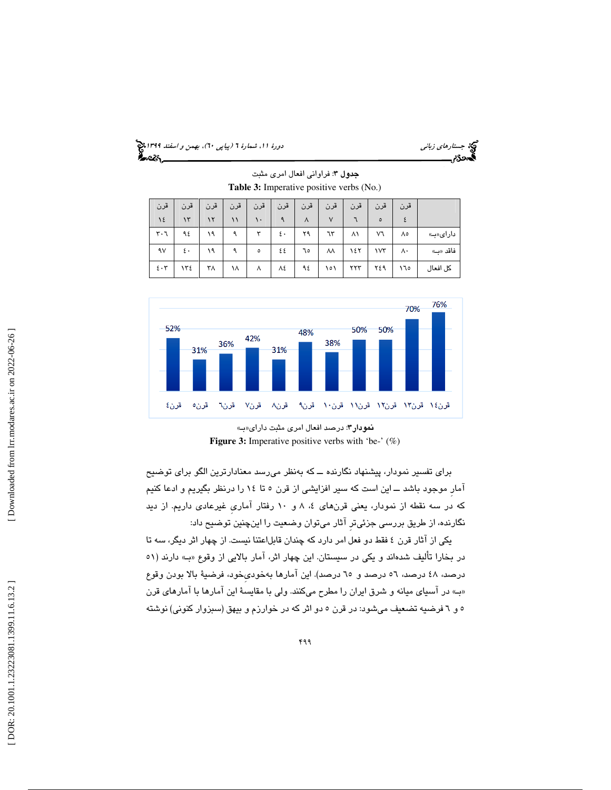(پياپي 60)، بهمن و اسفند 1399 جستارهاي زباني دورة ،11 شمارة 6

،دی;

|                    |     |     |     |         | $\mathbf{r}$ |           |        |     | $\overline{\phantom{a}}$ |     |          |
|--------------------|-----|-----|-----|---------|--------------|-----------|--------|-----|--------------------------|-----|----------|
| قرن                | قرن | قرن | قرن | قرن     | قرن          | قرن       | قرن    | قرن | قرن                      | قرن |          |
| $\frac{1}{2}$      | ۱۳  | ۱۲  | ۱۱  | ٠.      | ٩            | $\lambda$ | $\vee$ |     | $\circ$                  |     |          |
| ۳۰٦                | ۹٤  | ۱۹  | ٩   | ٣       | ٤.           | ۲۹        | ٦٣     | ۸١  | V٦                       | ٨٥  | دارای«ب» |
| ٩٧                 | ٤.  | ۱۹  | ٩   | $\circ$ | ٤٤           | ٦٥        | ٨٨     | ١٤٢ | ١٧٣                      | ۸۰  | فاقد «ب» |
| $\epsilon \cdot r$ | ١٣٤ | ۳٨  | ۱۸  | ٨       | ٨٤           | ٩٤        | ۱٥۱    | ۲۲۳ | ٢٤٩                      | ۱٦٥ | كل افعال |

جدول ٣: فراواني افعال امري مثبت **Table 3:** Imperative positive verbs (No.)



نمودار ۳: درصد افعال امری مثبت دارای«ب Figure 3: Imperative positive verbs with 'be-' (%)

براي تفسير نمودار، پيشنهاد نگارنده ــ كه بهنظر ميرسد معنادارترين الگو براي توضيح آمارِ موجود باشد ــ اين است كه سير افزايشي از قرن 5 تا 14 را درنظر بگيريم و ادعا كنيم که در سه نقطه از نمودار، يعني قرنِهاي ٤، ٨ و ١٠ رفتار اماري غيرعادي داريم. از ديد نگارنده، از طريق بررسي جزئيترِ آثار ميتوان وضعيت را اينچنين توضيح داد:

يكي از آثار قرن 4 فقط دو فعل امر دارد كه چندان قابلاعتنا نيست. از چهار اثر ديگر، سه تا در بخارا تاليف شدهاند و يكي در سيستان. اين چهار اثر، امار بالايي از وقوع «بـ» دارند (٥١ درصد، 48 درصد، 56 درصد و 65 درصد). اين آمارها بهخوديِخود، فرضية بالا بودن وقوع » بـ« در آسياي ميانه و شرق ايران را مطرح ميكنند. ولي با مقايسة اين آمارها با آمارهاي قرن 6و 5 فرضيه تضعيف ميشود: در قرن 5 دو اثر كه در خوارزم و بيهق (سبزوار كنوني) نوشته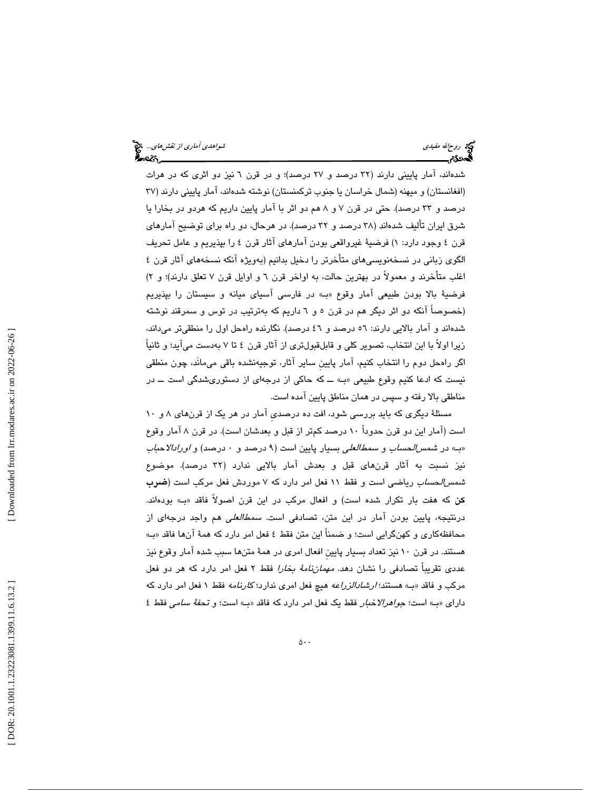شدهاند، آمار پاييني دارند ( 32 درصد و 27 درصد)؛ و در قرن 6 نيز دو اثري كه در هرات (افغانستان) و ميهنه (شمال خراسان يا جنوب تركمنستان) نوشته شدهاند، آمار پاييني دارند ( 37 درصد و 33 درصد). حتي در قرن 7 8و هم دو اثر با آمار پايين داريم كه هردو در بخارا يا شرق ايران تأليف شدهاند ( 38 درصد و 32 درصد). در هرحال، دو راه براي توضيح آمارهاي قرن ٤ وجود دارد: ١) فرضيهٔ غيرواقعي بودن امارهاي اثار قرن ٤ را بپذيريم و عامل تحريف الگوي زباني در نسخهنويسيهاي متأخرتر را دخيل بدانيم (بهويژه آنكه نسخههاي آثار قرن 4 اغلب متأخرند و معمولاً در بهترين حالت، به اواخر قرن 6 و اوايل قرن 7 تعلق دارند)؛ و ) 2 فرضية بالا بودن طبيعي آمار وقوع بـ« » در فارسي آسياي ميانه و سيستان را بپذيريم (خصوصاً آنكه دو اثر ديگر هم در قرن 5 6و داريم كه بهترتيب در توس و سمرقند نوشته شدهاند و آمار بالايي دارند: 56 درصد و 46 درصد). نگارنده راهحل اول را منطقيتر ميداند، زيرا اولاً با اين انتخاب، تصوير كلي و قابلقبولتري از آثار قرن 4 تا به 7 دست ميآيد؛ و ثانياً اگر راهحل دوم را انتخاب كنيم، آمار پايينِ ساير آثار، توجيهنشده باقي ميمانَد، چون منطقي نيست كه ادعا كنيم وقوع طبيعي «ب» ـــ كه حاكي از درجهاي از دستوريشدگي است ـــ در مناطقي بالا رفته و سپس در همان مناطق پايين آمده است.

مسئلة ديگري كه بايد بررسي شود، افت ده درصديِ آمار در هر يك از قرنهاي 8 و 10 است (آمار اين دو قرن حدوداً 10 درصد كمتر از قبل و بعدشان است). در قرن 8 آمار وقوع «ب» در *شمس الحساب* و *سمط العلي* بسيار پايين است (۹ درصد و ۰ درصد) و *اورادالاحباب* نيز نسبت به آثار قرنهاي قبل و بعدش آمار بالايي ندارد (32 درصد). موضوع شمسالحساب رياضي است و فقط 11 فعل امر دارد كه 7 موردش فعل مركب است (ضرب كن كه هفت بار تكرار شده است) و افعال مركب در اين قرن اصولاً فاقد بـ« » بودهاند. درنتيجه، پايين بودن آمار در اين متن، تصادفي است. سمطالعلي هم واجد درجهاي از محافظهكاري و كهنگرايي است؛ و ضمناً اين متن فقط ٤ فعل امر دارد كه همهٔ آنها فاقد «بـ» هستند. در قرن 10 نيز تعداد بسيار پايينِ افعال امري در همة متنها سبب شده آمار وقوع نيز عددی تقریباً تصادفی را نشان دهد. *مهماننامهٔ بخارا* فقط ۲ فعل امر دارد که هر دو فعل مركب و فاقد «بــ» هستند؛ *ارشادالزراعه* هيچ فعل امري ندارد؛ ك*ارنامه* فقط ۱ فعل امر دارد كه داراي «ب) است؛ جو*اهرالاخبار* فقط يك فعل امر دارد كه فاقد «ب) است؛ و تح*فهٔ سامي* فقط ٤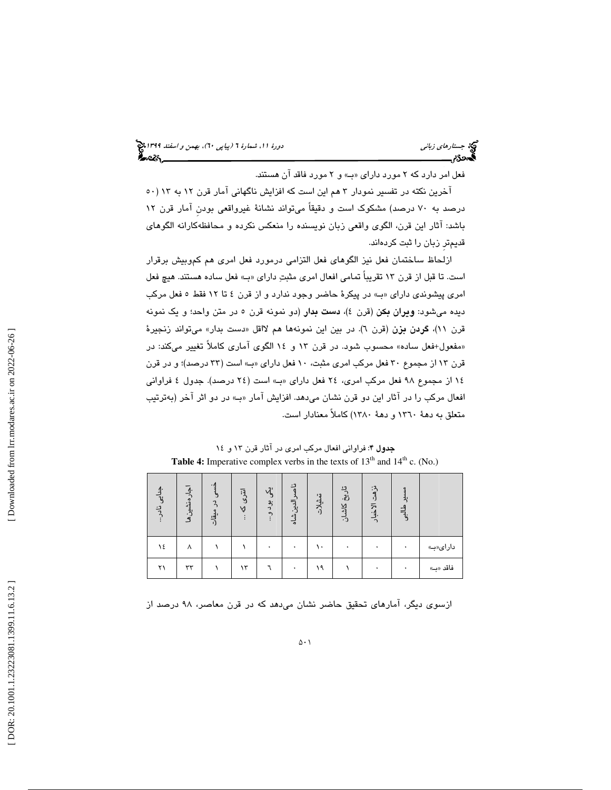فعل امر دارد كه ٢ مورد داراي «ب) و ٢ مورد فاقد آن هستند.

آخرين نكته در تفسير نمودار ٣ هم اين است كه افزايش ناگهاني آمار قرن ١٢ به ١٣ (٥٠ درصد به 70 درصد) مشكوك است و دقيقاً ميتواند نشانة غيرواقعي بودنِ آمار قرن 12 باشد: آ ثار اين قرن، الگوي واقعي زبان نويسنده را منعكس نكرده و محافظهكارانه الگوهاي قديمترِ زبان را ثبت كردهاند.

ازلحاظ ساختمان فعل نيز الگوهاي فعل التزامي درمورد فعل امري هم كموبيش برقرار است. تا قبل از قرن ۱۳ تقريباً تمامي افعال امري مثبتِ داراي «بِ» فعل ساده هستند. هيچ فعل امري پيشوندي داراي «بـ» در پيكرهٔ حاضر وجود ندارد و از قرن ٤ تا ١٢ فقط ٥ فعل مركب ديده ميشود: **ويران بكن** (قرن ٤)، **دست بدار** (دو نمونه قرن ٥ در متن واحد؛ و يك نمونه قرن ۱۱)، **گردن بزن** (قرن ٦). در بين اين نمونهها هم لااقل «دست بدار» ميتواند زنجيرهٔ «مفعول+فعل ساده» محسوب شود. در قرن ۱۳ و ۱۶ الگوی اماری کاملاً تغییر میکند: در قرن 13 از مجموع 30 فعل مركب امري مثبت، 10 فعل داراي » بـ« است ( 33 درصد)؛ و در قرن 14 از مجموع 98 فعل مركب امري، 24 فعل داراي » بـ« است ( 24 درصد). جدول 4 فراواني افعال مركب را در آثار اين دو قرن نشان ميدهد. افزايش آمار «بـ» در دو اثر آخر (بهترتيب متعلق به دهة 1360 و دهة 1380) كاملاً معنادار است.

| جدایی نادر | اجارهنشين ها | ۰،<br>$\tilde{z}$<br>$\boldsymbol{Q}$<br>ىي<br>ۋات | انٽری<br>Ą | J.<br>ېد ده.<br>د | يد<br>الدين شاه | $^{\ast}$<br>شلات | تاريخ<br>كاشان | $\ddot{a}$<br>٠J<br>الاخبار | ಕೈ |          |
|------------|--------------|----------------------------------------------------|------------|-------------------|-----------------|-------------------|----------------|-----------------------------|----|----------|
| ١٤         | ٨            |                                                    |            |                   |                 | ١.                |                |                             |    | دارای«ب» |
| ۲۱         | ٣٣           |                                                    | ۱۳         |                   |                 | ۱۹                |                |                             |    | فاقد «ب» |

جدول ۴: فراواني افعال مركب امري در آثار قرن ١٣ و ١٤ **Table 4:** Imperative complex verbs in the texts of  $13<sup>th</sup>$  and  $14<sup>th</sup>$  c. (No.)

ازسوي ديگر، آمارهاي تحقيق حاضر نشان ميدهد كه در قرن معاصر، 98 درصد از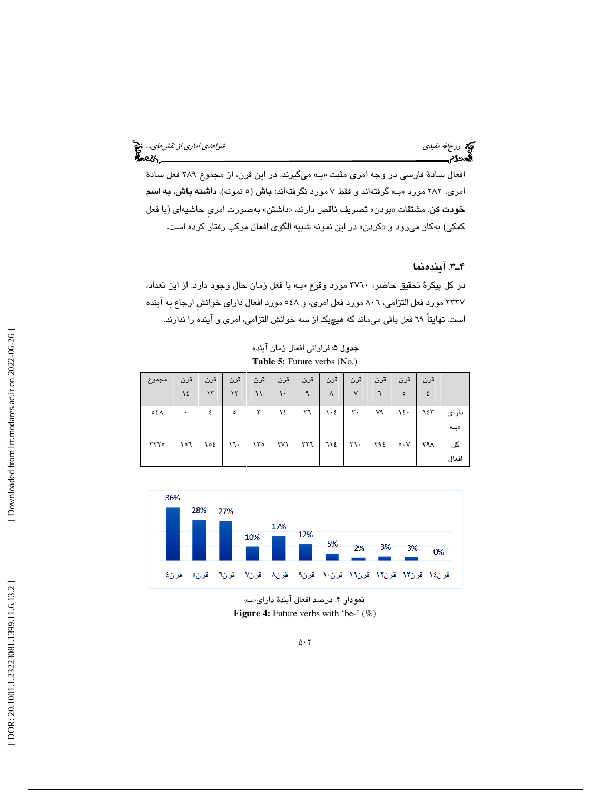# روحالله مفيدي شواهدي آماري *از نقش هاي...*. وفق<sup>ع</sup> آماري *از نقش هاي...*. وفق<mark>ع آماري از نقش هاي... وفق</mark><br>**آگست 26م السيد بين الله الله الله عليه الله عليه الله عليه الله عليه الله عليه الله عليه الله عليه الله عليه ا**

افعال سادة فارسي در وجه امري مثبت «ب) مي گيرند. در اين قرن، از مجموع ٢٨٩ فعل سادة امری، ۲۸۲ مورد «ب» گرفتهاند و فقط ۷ مورد نگرفتهاند: **باش** (٥ نمونه)، **داشته باش، به اسم خودت كن**. مشتقات «بودن» تصريف ناقص دارند، «داشتن» بهصورت امرى حاشيهاى (با فعل كمكي) بهكار مىرود و «كردن» در اين نمونه شبيه الگوى افعال مركب رفتار كرده است.

## 3ـ4 . آيندهنما

در كل پيكرة تحقيق حاضر، 3760 مورد وقوع » بـ« با فعل زمان حال وجود دارد. از اين تعداد، 2337 مورد فعل التزامي، 806 مورد فعل امري، و 548 مورد افعال داراي خوانشِ ارجاع به آينده است. نهايتاً 69 فعل باقي ميماند كه هيچيك از سه خوانش التزامي، امري و آينده را ندارند.

جدول ۵: فراواني افعال زمان آينده **Table 5:** Future verbs (No.)

| مجموع | قرن  | قرن   | قرن     | قرن                      | قرن | قرن | قرن       | قرن               | قرن | قرن                | قرن |       |
|-------|------|-------|---------|--------------------------|-----|-----|-----------|-------------------|-----|--------------------|-----|-------|
|       | 12   | ۱۳    | ۱۲      | ۱۱                       | ۱۰  |     | Λ         | $\vee$            |     | ٥                  | ٤   |       |
| ٥٤Λ   | ۰    | ٤     | $\circ$ | ٣                        | ١٤  | ٢٦  | $\cdot$ ٤ | ٣٠                | ٧٩  | ١٤٠                | ۱٤٣ | دارای |
|       |      |       |         |                          |     |     |           |                   |     |                    |     | ((پ)  |
| ۲۲۲٥  | 0٦ م | ، ۱۵٤ | 17.     | $\lambda \uparrow \circ$ | ۲۷۱ | ٢٢٦ | ٦١٤       | $\mathbf{r}\cdot$ | ۲۹٤ | $\circ \cdot \vee$ | ۳۹۸ | کل    |
|       |      |       |         |                          |     |     |           |                   |     |                    |     | افعال |



نمودار ۴: درصد افعال آيندهٔ داراي«ب» **Figure 4:** Future verbs with 'be-' (%)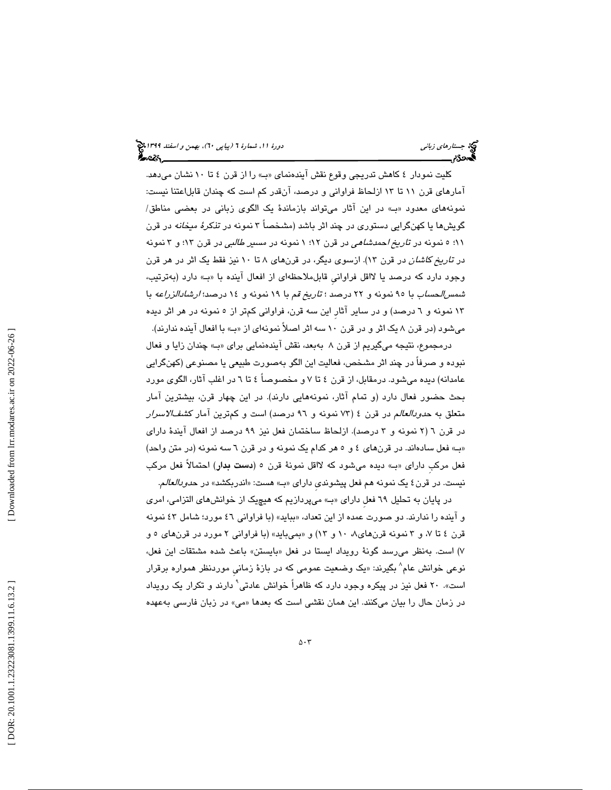كليت نمودار ٤ كاهش تدريجي وقوع نقش آيندهنماي «بـ» را از قرن ٤ تا ١٠ نشان ميدهد. آمارهاي قرن 11 تا 13 ازلحاظ فراواني و درصد، آنقدر كم است كه چندان قابلاعتنا نيست: نمونههاي معدود بـ« » در اين آثار ميتواند بازماندة يك الگوي زباني در بعضي مناطق/ گويشها يا كهنگرايي دستوري در چند اثر باشد (مشخصاً 3 نمونه در تذكرة ميخانه در قرن 5؛ 11 نمونه در تاريخ احمدشاهي در قرن 1؛ 12 نمونه در مسير طالبي در قرن 13؛ و 3 نمونه در تاريخ كاشان در قرن 13). ازسوي ديگر، در قرنهاي 8 تا 10 نيز فقط يك اثر در هر قرن وجود دارد كه درصد يا لااقل فراوانيِ قابلملاحظهاي از افعال آينده با » بـ« دارد (بهترتيب، شمسالحساب با 95 نمونه و 22 درصد ؛ تاريخ قم با 19 نمونه و 14 درصد؛ ارشادالزراعه با 13 نمونه و 6 درصد) و در ساير آثارِ اين سه قرن، فراواني كمتر از 5 نمونه در هر اثر ديده ميشود (در قرن ۸ يک اثر و در قرن ۱۰ سه اثر اصلاً نمونهاي از «ب» با افعال آينده ندارند).

درمجموع، نتيجه ميگيريم از قرن ۸ بهبعد، نقش ايندهنمايي براي «بـ» چندان زايا و فعال نبوده و صرفاً در چند اثر مشخص، فعاليت اين الگو بهصورت طبيعي يا مصنوعي (كهنگرايي عامدانه) ديده ميشود. درمقابل، از قرن 4 تا 7 و مخصوصاً 4 6تا در اغلب آثار، الگوي مورد بحث حضور فعال دارد (و تمام آثار، نمونههايي دارند). در اين چهار قرن، بيشترين آمار متعلق به *حدودالعالم* در قرن ٤ (٧٣ نمونه و ٩٦ درصد) است و كمترين آمار ك*شفالاسرار* در قرن 2( 6 نمونه و 3 درصد). ازلحاظ ساختمان فعل نيز 99 درصد از افعال آيندة داراي » بـ« فعل سادهاند. در قرنهاي 5و 4 هر كدام يك نمونه و در قرن 6 سه نمونه (در متن واحد) فعل مركبِ داراي «بــ» ديده ميشود كه لااقل نمونهٔ قرن ٥ (**دست بدار**) احتمالاً فعل مركب نيست. در قرن ٤ يک نمونه هم فعل پيشون*دي* داراي «بـ» هست: «اندربکشد» در ح*دودالعالم*.

در پايان به تحليل ٦٩ فعل داراي «ب» ميپردازيم كه هيچيک از خوانشهاي التزامي، امري و اينده را ندارند. دو صورت عمده از اين تعداد، «ببايد» (با فراواني ٤٦ مورد؛ شامل ٤٣ نمونه قرن ٤ تا ٧، و ٣ نمونه قرنهاي٨، ١٠ و ١٣) و «بميبايد» (با فراواني ٢ مورد در قرنهاي ٥ و ۷) است. بەنظر مىرسد گونهٔ رويداد ايستا در فعل «بايستن» باعث شده مشتقات اين فعل، نوعی خوانش عام<sup>^</sup> بگیرند: «یک وضعیت عمومی که در بازهٔ زمانی موردنظر همواره برقرار است». ۲۰ فعل نيز در پيكره وجود دارد كه ظاهراً خوانش عادتى<sup>٬</sup> دارند و تكرار يک رويداد در زمان حال را بيان مىكنند. اين همان نقشى است كه بعدها «مى» در زبان فارسى بهعهده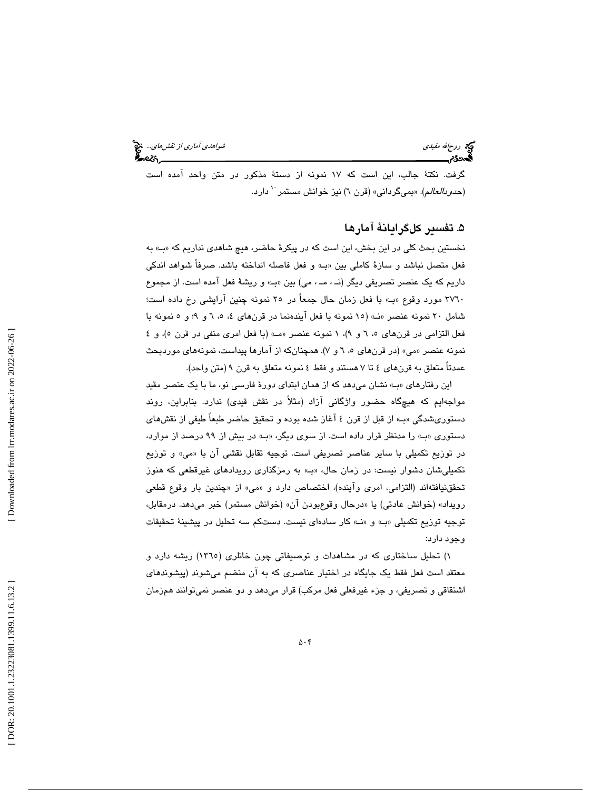ري بروحالله مفيدي شواهدي آماري از نقش هاي... المي توسط الله من الله من الله من الله من الله من الله من الله من<br>الله هناكم الله من الله من الله من الله من الله من الله من الله من الله من الله من الله من الله من الله من الل

گرفت. نكتة جالب، اين است كه 17 نمونه از دستة مذكور در متن واحد آمده است (*حدودالعالم*). «بميگرداني» (قرن ٦) نيز خوانش مستمر<sup>٠٠</sup> دارد.

## . تفسير كلگرايانة آمارها 5

نخستين بحث كلي در اين بخش، اين است كه در پيكرة حاضر، هيچ شاهدي نداريم كه » بـ« به فعل متصل نباشد و سازة كاملي بين » بـ« و فعل فاصله انداخته باشد. صرفاً شواهد اندكي داريم كه يك عنصر تصريفي ديگر (نـ ، مـ ، مي) بين » بـ« و ريشة فعل آمده است. از مجموع 3760 مورد وقوع بـ« » با فعل زمان حال جمعاً در 25 نمونه چنين آرايشي رخ داده است؛ شامل 20 نمونه عنصر نـ« » ( 15 نمونه با فعل آيندهنما در قرنهاي ،6 ،5 4 9و ؛ و 5 نمونه با فعل التزامي در قرنهاي ٥، ٦ و ٩)، ١ نمونه عنصر «مــ» (با فعل امري منفي در قرن ٥)، و ٤ نمونه عنصر «مي» (در قرنهاي ٥، ٦ و ٧). همچنانکه از امارها پيداست، نمونههاي موردبحث عمدتاً متعلق به قرنهاي 4 7تا هستند و فقط 4 نمونه متعلق به قرن 9 (متن واحد).

اين رفتارهاي «بـ» نشان مي دهد كه از همان ابتداي دورهٔ فارسي نو، ما با يک عنصر مقيد مواجهايم كه هيچگاه حضور واژگانی آزاد (مثلاً در نقش قيدی) ندارد. بنابراين، روند دستوريشدگي » بـ« از قبل از قرن 4 آغاز شده بوده و تحقيق حاضر طبعاً طيفي از نقشهاي دستوري «ب» را مدنظر قرار داده است. از سوي ديگر، «بـ» در بيش از ۹۹ درصد از موارد، در توزيع تكميلي با ساير عناصر تصريفي است. توجيه تقابل نقشي ان با «مي» و توزيع تكميليشان دشوار نيست: در زمان حال، » بـ« به رمزگذاري رويدادهاي غيرقطعي كه هنوز تحققنيافتهاند (التزامي، امري واينده)، اختصاص دارد و «مي» از «چندين بار وقوع قطعي رویداد» (خوانش عادتی) یا «درحال وقوعبودن آن» (خوانش مستمر) خبر میدهد. درمقابل، توجيه توزيع تكميلي » بـ« » نـ«و كار سادهاي نيست. دستكم سه تحليل در پيشينة تحقيقات وجود دارد:

 تحليل ساختاري كه در مشاهدات و توصيفاتي چون خانلري (1365) ريشه دارد و ( 1 معتقد است فعل فقط يك جايگاه در اختيار عناصري كه به آن منضم ميشوند (پيشوندهاي اشتقاقي و تصريفي، و جزء غيرفعلي فعل مركب) قرار ميدهد و دو عنصر نميتوانند همزمان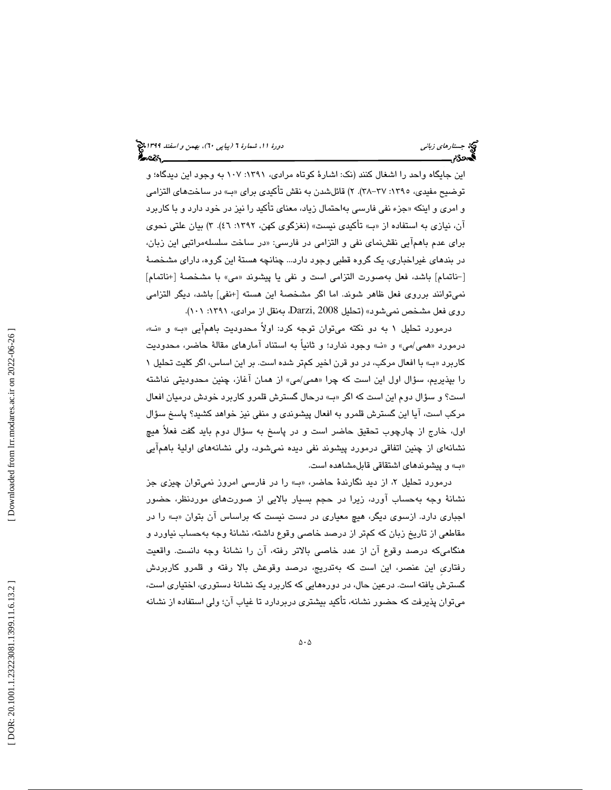اين جايگاه واحد را اشغال كنند (نك: اشارة كوتاه مرادي، :1391 107 به وجود اين ديدگاه؛ و توضيح مفيدي، ١٣٩٥: ٣٧-٣٨). ٢) قائلشدن به نقش تأكيدي براي «بـ» در ساختهاي التزامي و امری و اینکه «جزء نفی فارسی بهاحتمال زیاد، معنای تاکید را نیز در خود دارد و با کاربرد آن، نيازي به استفاده از » بـ« تأكيدي نيست» (نغزگوي كهن، :1392 46 3). ) بيان علتي نحوي برای عدم باهمایی نقشنمای نفی و التزامی در فارسی: «در ساخت سلسلهمراتبی این زبان، در بندهاي غيراخباري، يك گروه قطبي وجود دارد... چنانچه هستة اين گروه، داراي مشخصة مي» با مشخصة [+ناتمام] - [ ناتمام] باشد، فعل بهصورت التزامي است و نفي يا پيشوند « نميتوانند برروي فعل ظاهر شوند. اما اگر مشخصة اين هسته [+نفي] باشد، ديگر التزامي روي فعل مشخص نميشود» (تحليل 2008 ,Darzi، بهنقل از مرادي، :1391 101 ).

درمورد تحليل ١ به دو نكته ميتوان توجه كرد: اولاً محدوديت باهمآيي «ب» و «نـ»، درمورد «همي/مي» و «نــ» وجود ندارد؛ و ثانيا به استناد امارهاي مقالهٔ حاضر، محدوديت كاربرد «ب» با افعال مركب، در دو قرن اخير كمتر شده است. بر اين اساس، اگر كليت تحليل ١ را بپذيريم، سؤال اول اين است كه چرا «*همي ام*ي» از همان اغاز، چنين محدوديتي نداشته است؟ و سؤال دوم اين است كه اگر » بـ« درحال گسترش قلمرو كاربرد خودش درميان افعال مركب است، آيا اين گسترش قلمرو به افعال پيشوندي و منفي نيز خواهد كشيد؟ پاسخ سؤال اول، خارج از چارچوب تحقيق حاضر است و در پاسخ به سؤال دوم بايد گفت فعلاً هيچ نشانهاي از چنين اتفاقي درمورد پيشوند نفي ديده نميشود، ولي نشانههاي اولية باهمآيي » بـ« و پيشوندهاي اشتقاقي قابلمشاهده است.

درمورد تحلیل ۲، از دید نگارندهٔ حاضر، «بـ» را در فارسی امروز نمیتوان چیزی جز نشانة وجه بهحساب آورد، زيرا در حجم بسيار بالايي از صورتهاي موردنظر، حضور اجباري دارد. ازسوي ديگر، هيچ معياري در دست نيست كه براساس آن بتوان «بـ» را در مقاطعي از تاريخ زبان كه كمتر از درصد خاصي وقوع داشته، نشانة وجه بهحساب نياورد و هنگاميكه درصد وقوع آن از عدد خاصي بالاتر رفته، آن را نشانة وجه دانست. واقعيت رفتاريِ اين عنصر، اين است كه بهتدريج، درصد وقوعش بالا رفته و قلمرو كاربردش گسترش يافته است. درعين حال، در دورههايي كه كاربرد يک نشانهٔ دستوري، اختياري است، ميتوان پذيرفت كه حضور نشانه، تأكيد بيشتري دربردارد تا غياب آن؛ ولي استفاده از نشانه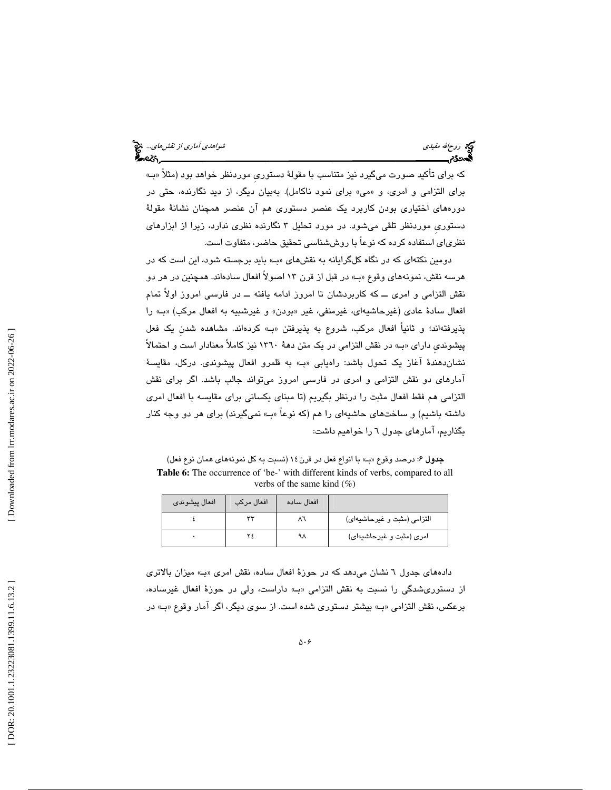كه براي تأكيد صورت ميگيرد نيز متناسب با مقولة دستوريِ موردنظر خواهد بود (مثلاً » بـ« برای التزامی و امری، و «می» برای نمود ناکامل). بهبیان دیگر، از دید نگارنده، حتی در دورههاي اختياري بودن كاربرد يك عنصر دستوري هم آن عنصر همچنان نشانة مقولة دستوريِ موردنظر تلقي ميشود. در مورد تحليل 3 نگارنده نظري ندارد، زيرا از ابزارهاي نظرياي استفاده كرده كه نوعاً با روششناسي تحقيق حاضر، متفاوت است.

دومين نكتهاي كه در نگاه كلگرايانه به نقشهاي » بـ« بايد برجسته شود، اين است كه در هرسه نقش، نمونههاي وقوع «بـ» در قبل از قرن ۱۳ اصولاً افعال سادهاند. همچنين در هر دو نقش التزامي و امري ــ كه كاربردشان تا امروز ادامه يافته ــ در فارسي امروز اولاً تمام افعال سادهٔ عادی (غیرحاشیهای، غیرمنفی، غیر «بودن» و غیرشبیه به افعال مرکب) «بـ» را پذيرفتهاند؛ و ثانياً افعال مركب، شروع به پذيرفتن بـ« » كردهاند. مشاهده شدنِ يك فعل پيشونديِ داراي » بـ« در نقش التزامي در يك متن دهة 1360 نيز كاملاً معنادار است و احتمالاً نشاندهندة آغاز يك تحول باشد: راهيابي بـ« » به قلمرو افعال پيشوندي. دركل، مقايسة آمارهاي دو نقش التزامي و امري در فارسي امروز ميتواند جالب باشد. اگر براي نقش التزامي هم فقط افعال مثبت را درنظر بگيريم (تا مبناي يكساني براي مقايسه با افعال امري داشته باشيم) و ساختهاي حاشيهاي را هم (كه نوعاً «بـ» نميگيرند) براي هر دو وجه كنار بگذاريم، آمارهاي جدول 6 را خواهيم داشت:

جدول ۶: درصد وقوع «ب) با انواع فعل در قرن ١٤ (نسبت به كل نمونههاي همان نوع فعل) Table 6: The occurrence of 'be-' with different kinds of verbs, compared to all verbs of the same kind  $(\%)$ 

| افعال پيشوندي | افعال مركب | افعال ساده |                             |
|---------------|------------|------------|-----------------------------|
|               | ww         |            | التزامي (مثبت و غيرحاشيهاي) |
|               |            | ٩٨         | امري (مثبت و غيرحاشيهاي)    |

 دادههاي جدول 6 نشان ميدهد كه در حوزة افعال ساده، نقش امري » بـ« ميزان بالاتري از دستوري شدگي را نسبت به نقش التزامي «بـ» داراست، ولي در حوزهٔ افعال غيرساده، برعكس، نقش التزامي » بـ« بيشتر دستوري شده است. از سوي ديگر، اگر آمار وقوع » بـ« در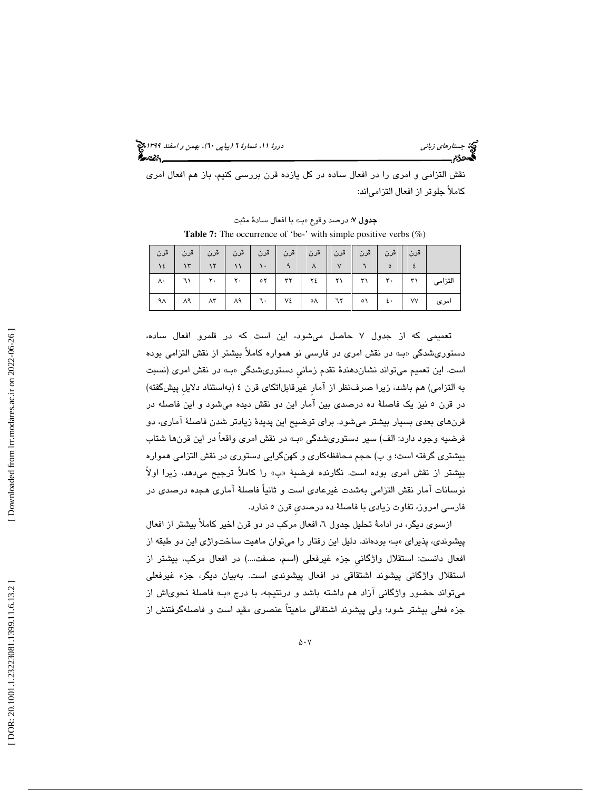(پياپي 60)، بهمن و اسفند 1399 جستارهاي زباني دورة ،11 شمارة 6

نقش التزامي و امري را در افعال ساده در كل يازده قرن بررسي كنيم، باز هم افعال امري كاملاً جلوتر از افعال التزامياند:

جدول ٧: درصد وقوع «ب» با افعال سادة مثبت **Table 7:** The occurrence of 'be-' with simple positive verbs (%)

|               |                                 | قرن   قرن   قرن   قرن   قرن   قرن   قرن   قرن   قرن   قرن   قرن                                                               |              |                                                                      |              |              |                |                     |
|---------------|---------------------------------|-------------------------------------------------------------------------------------------------------------------------------|--------------|----------------------------------------------------------------------|--------------|--------------|----------------|---------------------|
| 12            |                                 | $\left  \cdot \right $ if $\left  \cdot \right $ if $\left  \cdot \right $                                                    |              | $\lambda$                                                            | $\mathsf{v}$ |              | $\circ$        |                     |
| $\wedge\cdot$ | $  \mathcal{N}  $ $\mathcal{V}$ |                                                                                                                               | $\circ \tau$ | $\mathsf{r}\mathsf{r}$ $\mathsf{r}\mathsf{t}$ $\mathsf{r}\mathsf{r}$ |              | $\mathbf{r}$ | $\mathbf{r}$ . | التزامى ٢١          |
|               |                                 | $\mathcal{M}$ $\mathcal{M}$ $\mathcal{M}$ $\mathcal{M}$ $\mathcal{M}$ $\mathcal{M}$ $\mathcal{M}$ $\mathcal{M}$ $\mathcal{M}$ |              |                                                                      |              |              |                | امری   ۷۷   ٤٠   ٥١ |

تعمیمی که از جدول ۷ حاصل میشود، این است که در قلمرو افعال ساده، دستوریشدگی «ب» در نقش امری در فارسی نو همواره کاملاً بیشتر از نقش التزامی بوده است. اين تعميم ميتواند نشانِدهندهٔ تقدم زماني دستوريشدگي «بـ» در نقش امري (نسبت به التزامي) هم باشد، زيرا صرفنظر از آمارِ غيرقابلاتكاي قرن 4 (بهاستناد دلايلِ پيشگفته) در قرن 5 نيز يك فاصلة ده درصدي بين آمار اين دو نقش ديده ميشود و اين فاصله در قرنهاي بعدي بسيار بيشتر ميشود. براي توضيح اين پديدة زيادتر شدن فاصلة آماري، دو فرضيه وجود دارد: الف) سير دستوريشدگي » بـ« در نقش امري واقعاً در اين قرنها شتاب بيشتري گرفته است؛ و ب) حجم محافظهكاري و كهنگرايي دستوري در نقش التزامي همواره بيشتر از نقش امری بوده است. نگارنده فرضيهٔ «ب» را کاملاً ترجیح میدهد، زیرا اولاً نوسانات آمار نقش التزامي بهشدت غيرعادي است و ثانياً فاصلة آماري هجده درصدي در فارسي امروز، تفاوت زيادي با فاصلة ده درصديِ قرن 5 ندارد.

ازسوی دیگر، در ادامهٔ تحلیل جدول ٦، افعال مرکب در دو قرن اخیر کاملاً بیشتر از افعال پیشوندی، پذیرای «بـ» بودهاند. دلیل این رفتار را میتوان ماهیت ساخت<code>واژی</code> این دو طبقه از افعال دانست: استقلال واژگانيِ جزء غيرفعلي (اسم، صفت...،) در افعال مركب، بيشتر از استقلال واژگاني پيشوند اشتقاقي در افعال پيشوندي است. بهبيان ديگر، جزء غيرفعلي ميتواند حضور واژگاني ازاد هم داشته باشد و درنتيجه، با درج «بـ» فاصلهٔ نحويlش از جزء فعلي بيشتر شود؛ ولي پيشوند اشتقاقي ماهيتاً عنصري مقيد است و فاصلهگرفتنش از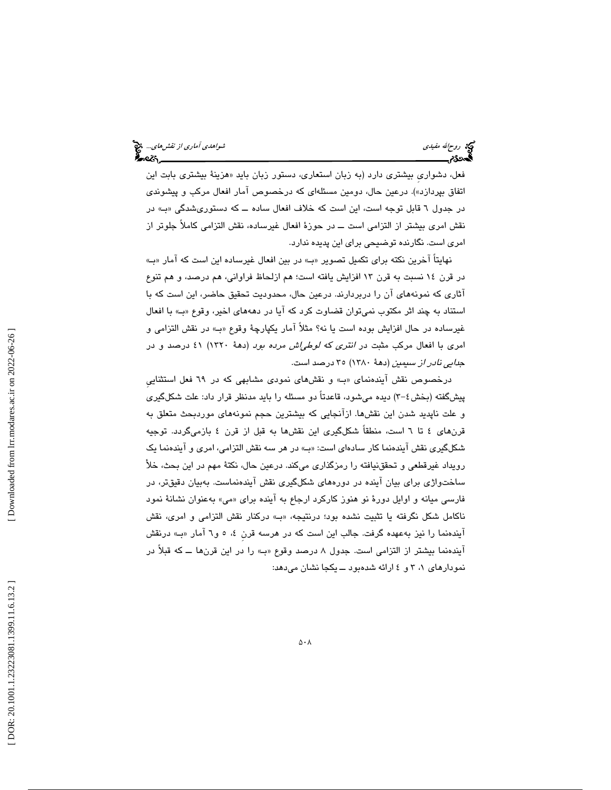ريم الله مفيدي شواهدي... الله مفيدي شواهدي آماري *از نقش هاي...*. الله عن الله من الله من الله من الله عن الله م<br>**آماد 1953م - الله عن الله عن الله عن الله عن الله عن الله عن الله عن الله عن الله عن الله عن الله عن الله ع** 

فعل، دشواری بیشتری دارد (به زبان استعاری، دستور زبان باید «هزینهٔ بیشتری بابت این اتفاق بپردازد»). درعين حال، دومين مسئلهاي كه درخصوص آمار افعال مركب و پيشوندي در جدول ٦ قابل توجه است، اين است كه خلاف افعال ساده ــ كه دستورىشدگي «ب» در نقش امري بيشتر از التزامي است ــ در حوزة افعال غيرساده، نقش التزامي كاملاً جلوتر از امري است. نگارنده توضيحي براي اين پديده ندارد.

نهايتاً آخرين نكته براي تكميل تصوير » بـ« در بين افعال غيرساده اين است كه آمار » بـ« در قرن 14 نسبت به قرن 13 افزايش يافته است؛ هم ازلحاظ فراواني، هم درصد، و هم تنوع آثاري كه نمونههاي آن را دربردارند. درعين حال، محدوديت تحقيق حاضر، اين است كه با استناد به چند اثر مكتوب نميتوان قضاوت كرد كه آيا در دهههاي اخير، وقوع «بـ» با افعال غيرساده در حال افزايش بوده است يا نه؟ مثلاً آمار يكپارچة وقوع » بـ« در نقش التزامي و امري با افعال مركب مثبت در انتري كه لوطياش مرده بود (دهة 1320) 41 درصد و در جدايي نادر از سيمين (دهة 1380) 35 درصد است.

درخصوص نقش آيندهنماي بـ« » و نقشهاي نمودي مشابهي كه در 69 فعل استثناييِ پيشگفته (بخش٤-٣) ديده مي شود، قاعدتاً دو مسئله را بايد مدنظر قرار داد: علت شكلگيري و علت ناپديد شدن اين نقشها. ازآنجايي كه بيشترين حجم نمونههاي موردبحث متعلق به قرنهاي ٤ تا ٦ است، منطقاً شكلگيري اين نقشها به قبل از قرن ٤ بازميگردد. توجيه شكلگيري نقش آيندهنما كار سادهاي است: » بـ« در هر سه نقش التزامي، امري و آيندهنما يك رويداد غيرقطعي و تحققنيافته را رمزگذاري ميكند. درعين حال، نكتة مهم در اين بحث، خلأ ساختواژي براي بيان آينده در دورههاي شكلگيري نقش آيندهنماست. بهبيان دقيقتر، در فارسی میانه و اوایل دورهٔ نو هنوز کارکرد ارجاع به اینده برای «می» بهعنوان نشانهٔ نمود ناكامل شكل نگرفته يا تثبيت نشده بود؛ درنتيجه، بـ« » دركنار نقش التزامي و امري، نقش ایندهنما را نیز بهعهده گرفت. جالب این است که در هرسه قرن ٤، ٥ و٦ امار «بـ» درنقش آيندهنما بيشتر از التزامي است. جدول 8 درصد وقوع » بـ« را در اين قرنها ــ كه قبلاً در نمودارهاي ٦، ٣ و ٤ ارائه شدهبود ــ يكجا نشان مي دهد:

 [\[ DOR: 20.1001.1.23223081.1399.11.6.13](https://dorl.net/dor/20.1001.1.23223081.1399.11.6.13.2).2 ] [\[ Downloaded from lrr.modares.ac.ir on 20](https://lrr.modares.ac.ir/article-14-31419-fa.html)22-06-26 ] Downloaded from lrr.modares.ac.ir on 2022-06-26] DOR: 20.1001.1.23223081.1399.11.6.13.2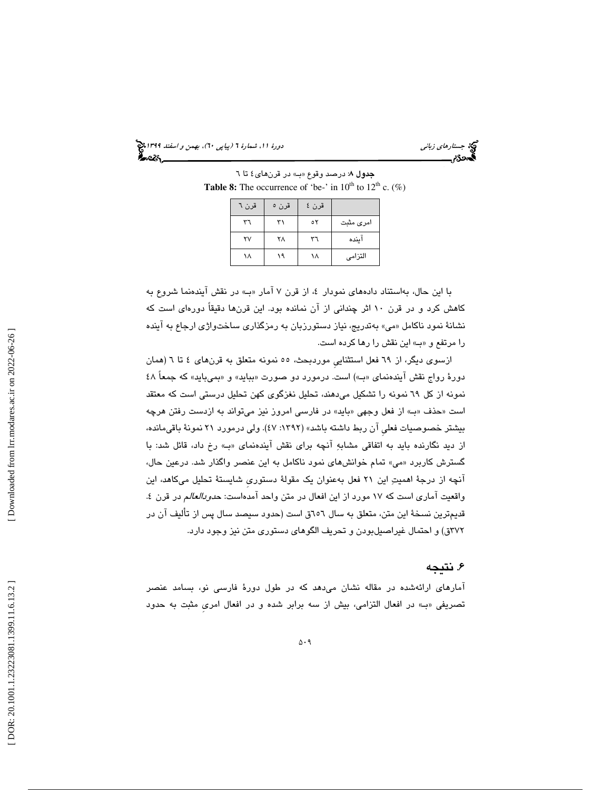(پياپي 60)، بهمن و اسفند 1399 جستارهاي زباني دورة ،11 شمارة 6

جدول ٨: درصد وقوع «ب) در قرنهاي ٤ تا ٦ **Table 8:** The occurrence of 'be-' in  $10^{th}$  to  $12^{th}$  c. (%)

| قرن ٦ | قرن ہ | قرن ٤ |           |
|-------|-------|-------|-----------|
| ٣٦    | ٣١    | ٥٢    | امری مثبت |
| ۲٧    | ۲۸    | ٣٦    | اينده     |
| ۱۸    | ۱۹    | ١٨    | التزامى   |

با این حال، بهاستناد دادههای نمودار ٤، از قرن ۷ امار «بـ» در نقش ایندهنما شروع به كاهش كرد و در قرن 10 اثر چنداني از آن نمانده بود. اين قرنها دقيقاً دورهاي است كه نشانهٔ نمود ناکامل «می» بهتدریج، نیاز دستورزبان به رمزگذاری ساختواژی ارجاع به اینده را مرتفع و » بـ« اين نقش را رها كرده است.

ازسوي ديگر، از 69 فعل استثناييِ موردبحث، 55 نمونه متعلق به قرنهاي 4 تا 6 (همان دورهٔ رواج نقش ایندهنمای «ب)) است. درمورد دو صورت «بباید» و «بمیباید» که جمعاً ٤٨ نمونه از كل 69 نمونه را تشكيل ميدهند، تحليل نغزگوي كهن تحليل درستي است كه معتقد است «حذف «ب» از فعل وجهي «بايد» در فارسي امروز نيز ميتواند به ازدست رفتن هرچه بيشتر خصوصيات فعليِ آن ربط داشته باشد» (:1392 47). ولي درمورد 21 نمونة باقيمانده، از ديد نگارنده بايد به اتفاقي مشابه آنچه براي نقش آيندهنماي بـ« » رخ داد، قائل شد: با گسترش كاربرد «مي» تمام خوانشهاي نمود ناكامل به اين عنصر واگذار شد. درعين حال، آنچه از درجة اهميت اين 21 فعل بهعنوان يك مقولة دستوريِ شايستة تحليل ميكاهد، اين واقعيت آماري است كه ١٧ مورد از اين افعال در متن واحد آمدهاست: ح*دودالعالم* در قرن ٤. قديمترين نسخة اين متن، متعلق به سال 656ق است (حدود سيصد سال پس از تأليف آن در 372ق) و احتمال غيراصيلبودن و تحريف الگوهاي دستوري متن نيز وجود دارد .

## . نتيجه 6

آمارهاي ارائهشده در مقاله نشان ميدهد كه در طول دورة فارسي نو، بسامد عنصر تصريفي «ب» در افعال التزامي، بيش از سه برابر شده و در افعال امري مثبت به حدود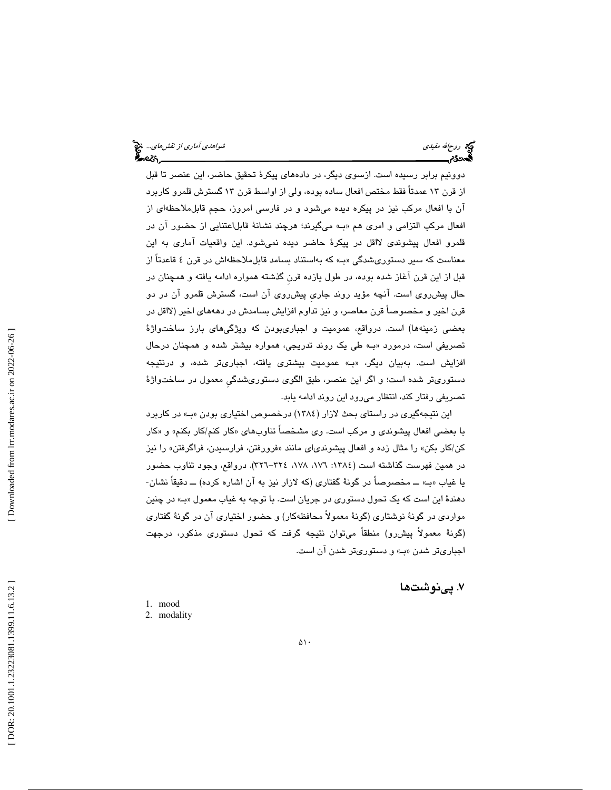دوونيم برابر رسيده است. ازسوي ديگر، در دادههاي پيكرة تحقيق حاضر، اين عنصر تا قبل از قرن 13 عمدتاً فقط مختص افعال ساده بوده، ولي از اواسط قرن 13 گسترش قلمرو كاربرد آن با افعال مركب نيز در پيكره ديده ميشود و در فارسي امروز، حجم قابلملاحظهاي از افعال مركب التزامي و امري هم » بـ« ميگيرند؛ هرچند نشانة قابلاعتنايي از حضور آن در قلمرو افعال پيشوندي لااقل در پيكرة حاضر ديده نميشود. اين واقعيات آماري به اين معناست كه سير دستوريشدگي «ب» كه بهاستناد بسامد قابلملاحظهاش در قرن ٤ قاعدتاً از قبل از اين قرن آغاز شده بوده، در طول يازده قرنِ گذشته همواره ادامه يافته و همچنان در حال پيشروي است. آنچه مؤيد روند جاريِ پيشروي آن است، گسترش قلمرو آن در دو قرن اخير و مخصوصاً قرن معاصر، و نيز تداوم افزايش بسامدش در دهههاي اخير (لااقل در بعضي زمينهها) است. درواقع، عموميت و اجباريبودن كه ويژگيهاي بارز ساختواژة تصريفي است، درمورد بـ« » طي يك روند تدريجي، همواره بيشتر شده و همچنان درحال افزايش است. بهبيان ديگر، بـ« » عموميت بيشتري يافته، اجباريتر شده، و درنتيجه دستوري تر شده است؛ و اگر اين عنصر، طبق الگوي دستوريشدگيِ معمول در ساختواژة تصريفي رفتار كند، انتظار ميرود اين روند ادامه يابد.

اين نتيجهگيري در راستاي بحث لازار (١٣٨٤) درخصوص اختياري بودن «بـ» در كاربرد با بعضي افعال پيشوندي و مركب است. وي مشخصآ تناوبهاي «كار كنم/كار بكنم» و «كار كن/كار بكن» را مثال زده و افعال پیشوندىاى مانند «فرورفتن، فرارسیدن، فراگرفتن» را نیز در همین فهرست گذاشته است (١٣٨٤: ١٧٦، ١٧٨، ٢٢٤–٣٢٦). درواقع، وجود تناوب حضور يا غياب » بـ« ــ مخصوصاً در گونة گفتاري (كه لازار نيز به آن اشاره كرده) ــ دقيقاً نشان- دهندة اين است كه يك تحول دستوري در جريان است. با توجه به غياب معمول » بـ« در چنين مواردي در گونة نوشتاري (گونة معمولاً محافظهكار) و حضور اختياري آن در گونة گفتاري (گونة معمولاً پيشرو) منطقاً ميتوان نتيجه گرفت كه تحول دستوري مذكور، درجهت اجباريتر شدن » بـ« و دستوريتر شدن آن است.

. پينوشت ها 7

- 1. mood
- 2. modality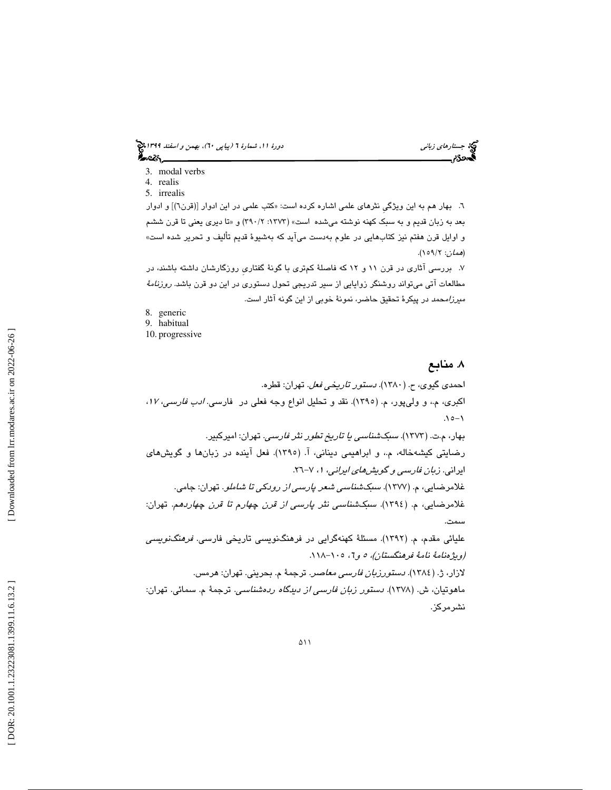(پياپي 60)، بهمن و اسفند 1399 جستارهاي زباني دورة ،11 شمارة 6

- 3. modal verbs
- 4. realis
- 5. irrealis

٦. بهار هم به اين ويژگي نثرهاي علمي اشاره كرده است: «كتب علمي در اين ادوار [(قرن٦)] و ادوار بعد به زبان قديم و به سبک کهنه نوشته ميشده است» (۱۳۷۳: ۲۹۰/۲) و «تا ديري يعني تا قرن ششم و اوايل قرن هفتم نيز كتابهايي در علوم بهدست ميآيد كه بهشيوة قديم تأليف و تحرير شده است» (*همان*: ١٥٩/٢).

7. بررسي آثاري در قرن 11 و 12 كه فاصلة كمتري با گونة گفتاريِ روزگارشان داشته باشند، در مطالعات آتي ميتواند روشنگر زوايايي از سير تدريجي تحول دستوري در اين دو قرن باشد. *روزنامهٔ ميرزامحمد* در پيكرهٔ تحقيق حاضر، نمونهٔ خوبي از اين گونه آثار است.

- 8. generic
- 9. habitual
- 10. progressive

## . منابع 8

احمدي گيوي، ح. (1380). دستور تاريخي فعل. تهران: قطره. اكبري، م،. و وليپور، م. (1395). نقد و تحليل انواع وجه فعلي در فارسي. ادب فارسي، ،<sup>17</sup> 1 -15. بهار، م.ت. (1373). سبكشناسي يا تاريخ تطور نثر فارسي. تهران: اميركبير. رضايتي كيشهخاله، م،. و ابراهيمي ديناني، آ. (1395). فعل آينده در زبانها و گويشهاي ،7 -26. ايراني. زبان فارسي و گويشهاي ايراني، <sup>1</sup> غلامرضايي، م. (1377). سبكشناسي شعر پارسي از رودكي تا شاملو. تهران: جامي. غلامرضايي، م. (1394). سبكشناسي نثر پارسي از قرن چهارم تا قرن چهاردهم. تهران: سمت. عليائي مقدم، م. (1392). مسئلة كهنهگرايي در فرهنگنويسي تاريخي فارسي. فرهنگنويسي (ويژهنامة نامة فرهنگستان)، 6و 5 ، -105 118 . لازار، ژ. (1384). دستورزبان فارسي معاصر. ترجمة م. بحريني. تهران: هرمس. ماهوتيان، ش. (1378). دستور زبان فارسي از ديدگاه ردهشناسي. ترجمة م. سمائي. تهران: نشرمركز.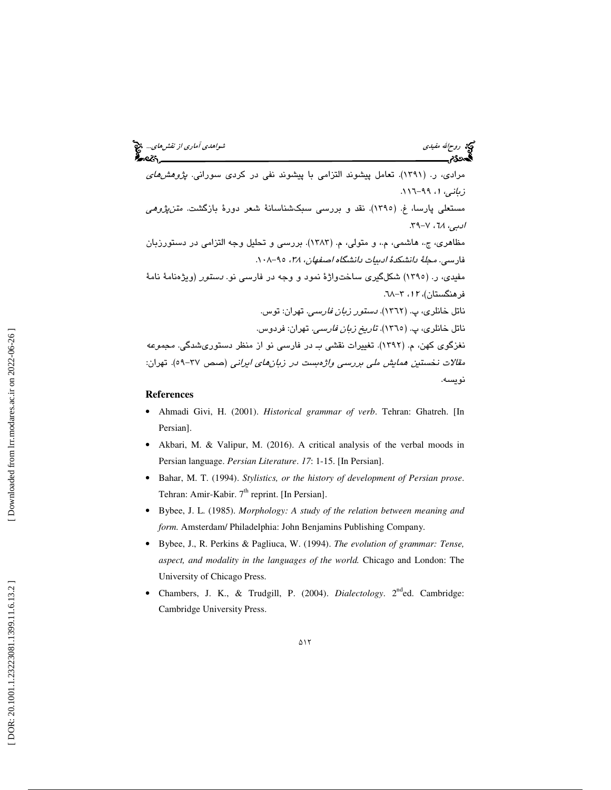مرادی، ر. (۱۳۹۱). تعامل پیشوند التزامی با پیشوند نفی در کردی سورانی. *پژوهشهای*<br>*زبانی، ۱*، ۹۹–۱۱۱. م<mark>ستعل</mark>ی پارسا، غ. (۱۳۹۰). نقد و بررسی سبکشناسانهٔ شعر دورهٔ بازگشت. *متن،پژوهی* ادبي، ٦٨، ٢-٣٩. مظاهري، ج،. هاشمي، م،. و متولي، م. (1383). بررسي و تحليل وجه التزامي در دستورزبان فارسي. مجلةُ دانشكدهُ ادبيات دانشگاه اصفهان، ٣٨، ٩٥-١٠٨. مفي*دی، ر. (*١٣٩٥) شكلگيرى ساختواژهٔ نمود و وجه در فارس*ي* نو. *دستور (ويژهنامهٔ نامهٔ* فرهنگستان)، ۱۲، ۲–۲۸. ناتل خانلری، پ. (۱۳٦۲). *دستور زبان فارسی.* تهران: توس. ناتل خانلري، پ. (1365). تاريخ زبان فارسي. تهران: فردوس. نغزگوي كهن، م. (1392). تغييرات نقشي بـ در فارسي نو از منظر دستوريشدگي. مجموعه .<br>مقالات نخستين *همايش ملي بررسي واژ*هب*ست در زبانهاي ايراني* (صص ٣٧-٥٩). تهران: نويسه.

### **References**

- Ahmadi Givi, H. (2001). *Historical grammar of verb*. Tehran: Ghatreh. [In Persian].
- Akbari, M. & Valipur, M. (2016). A critical analysis of the verbal moods in Persian language. *Persian Literature*. *17*: 1-15. [In Persian].
- Bahar, M. T. (1994). *Stylistics, or the history of development of Persian prose*. Tehran: Amir-Kabir. 7<sup>th</sup> reprint. [In Persian].
- Bybee, J. L. (1985). *Morphology: A study of the relation between meaning and form.* Amsterdam/ Philadelphia: John Benjamins Publishing Company.
- Bybee, J., R. Perkins & Pagliuca, W. (1994). *The evolution of grammar: Tense, aspect, and modality in the languages of the world.* Chicago and London: The University of Chicago Press.
- Chambers, J. K., & Trudgill, P. (2004). *Dialectology*. 2nded. Cambridge: Cambridge University Press.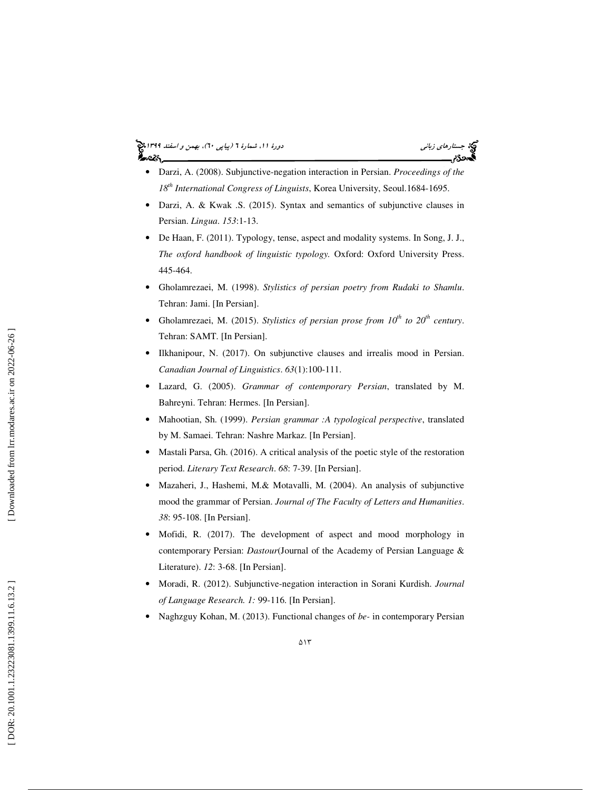## (پياپي 60)، بهمن و اسفند 1399 جستارهاي زباني دورة ،11 شمارة 6



- Darzi, A. (2008). Subjunctive-negation interaction in Persian. *Proceedings of the 18th International Congress of Linguists*, Korea University, Seoul.1684-1695.
- Darzi, A. & Kwak .S. (2015). Syntax and semantics of subjunctive clauses in Persian. *Lingua*. *153*:1-13.
- De Haan, F. (2011). Typology, tense, aspect and modality systems. In Song, J. J., *The oxford handbook of linguistic typology.* Oxford: Oxford University Press. 445-464.
- Gholamrezaei, M. (1998). *Stylistics of persian poetry from Rudaki to Shamlu*. Tehran: Jami. [In Persian].
- Gholamrezaei, M. (2015). *Stylistics of persian prose from 10th to 20th century*. Tehran: SAMT. [In Persian].
- Ilkhanipour, N. (2017). On subjunctive clauses and irrealis mood in Persian. *Canadian Journal of Linguistics*. *63*(1):100-111.
- Lazard, G. (2005). *Grammar of contemporary Persian*, translated by M. Bahreyni. Tehran: Hermes. [In Persian].
- Mahootian, Sh. (1999). *Persian grammar :A typological perspective*, translated by M. Samaei. Tehran: Nashre Markaz. [In Persian].
- Mastali Parsa, Gh. (2016). A critical analysis of the poetic style of the restoration period. *Literary Text Research*. *68*: 7-39. [In Persian].
- Mazaheri, J., Hashemi, M.& Motavalli, M. (2004). An analysis of subjunctive mood the grammar of Persian. *Journal of The Faculty of Letters and Humanities*. *38*: 95-108. [In Persian].
- Mofidi, R. (2017). The development of aspect and mood morphology in contemporary Persian: *Dastour*(Journal of the Academy of Persian Language & Literature). *12*: 3-68. [In Persian].
- Moradi, R. (2012). Subjunctive-negation interaction in Sorani Kurdish. *Journal of Language Research. 1:* 99-116. [In Persian].
- Naghzguy Kohan, M. (2013). Functional changes of *be-* in contemporary Persian

Downloaded from lrr.modares.ac.ir on 2022-06-26]